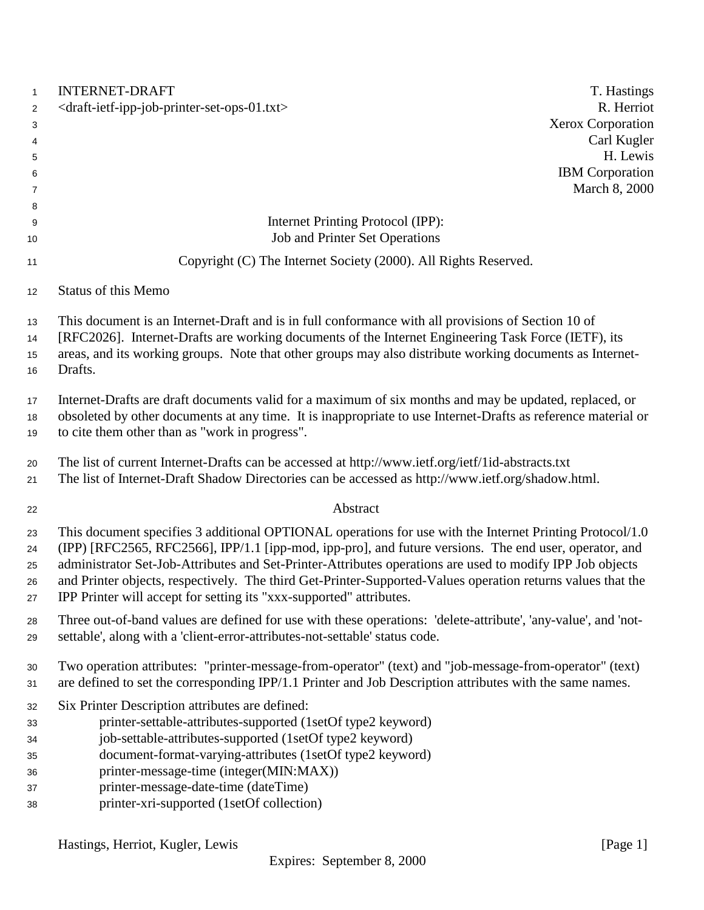| $\mathbf{1}$                           | <b>INTERNET-DRAFT</b><br>T. Hastings                                                                                                                                                                                                                                                                                                                                                                                                                                                                                  |
|----------------------------------------|-----------------------------------------------------------------------------------------------------------------------------------------------------------------------------------------------------------------------------------------------------------------------------------------------------------------------------------------------------------------------------------------------------------------------------------------------------------------------------------------------------------------------|
| $\overline{c}$                         | <draft-ietf-ipp-job-printer-set-ops-01.txt><br/>R. Herriot</draft-ietf-ipp-job-printer-set-ops-01.txt>                                                                                                                                                                                                                                                                                                                                                                                                                |
| 3                                      | <b>Xerox Corporation</b>                                                                                                                                                                                                                                                                                                                                                                                                                                                                                              |
| 4                                      | Carl Kugler                                                                                                                                                                                                                                                                                                                                                                                                                                                                                                           |
| 5                                      | H. Lewis                                                                                                                                                                                                                                                                                                                                                                                                                                                                                                              |
| 6                                      | <b>IBM</b> Corporation                                                                                                                                                                                                                                                                                                                                                                                                                                                                                                |
| 7                                      | March 8, 2000                                                                                                                                                                                                                                                                                                                                                                                                                                                                                                         |
| 8                                      |                                                                                                                                                                                                                                                                                                                                                                                                                                                                                                                       |
| 9                                      | Internet Printing Protocol (IPP):                                                                                                                                                                                                                                                                                                                                                                                                                                                                                     |
| 10                                     | <b>Job and Printer Set Operations</b>                                                                                                                                                                                                                                                                                                                                                                                                                                                                                 |
| 11                                     | Copyright (C) The Internet Society (2000). All Rights Reserved.                                                                                                                                                                                                                                                                                                                                                                                                                                                       |
| 12                                     | <b>Status of this Memo</b>                                                                                                                                                                                                                                                                                                                                                                                                                                                                                            |
| 13                                     | This document is an Internet-Draft and is in full conformance with all provisions of Section 10 of<br>[RFC2026]. Internet-Drafts are working documents of the Internet Engineering Task Force (IETF), its                                                                                                                                                                                                                                                                                                             |
| 14<br>15                               | areas, and its working groups. Note that other groups may also distribute working documents as Internet-                                                                                                                                                                                                                                                                                                                                                                                                              |
| 16                                     | Drafts.                                                                                                                                                                                                                                                                                                                                                                                                                                                                                                               |
|                                        |                                                                                                                                                                                                                                                                                                                                                                                                                                                                                                                       |
| 17                                     | Internet-Drafts are draft documents valid for a maximum of six months and may be updated, replaced, or                                                                                                                                                                                                                                                                                                                                                                                                                |
| 18                                     | obsoleted by other documents at any time. It is inappropriate to use Internet-Drafts as reference material or                                                                                                                                                                                                                                                                                                                                                                                                         |
| 19                                     | to cite them other than as "work in progress".                                                                                                                                                                                                                                                                                                                                                                                                                                                                        |
| 20                                     | The list of current Internet-Drafts can be accessed at http://www.ietf.org/ietf/1id-abstracts.txt                                                                                                                                                                                                                                                                                                                                                                                                                     |
| 21                                     | The list of Internet-Draft Shadow Directories can be accessed as http://www.ietf.org/shadow.html.                                                                                                                                                                                                                                                                                                                                                                                                                     |
| 22                                     | Abstract                                                                                                                                                                                                                                                                                                                                                                                                                                                                                                              |
| 23<br>24<br>25<br>26<br>27             | This document specifies 3 additional OPTIONAL operations for use with the Internet Printing Protocol/1.0<br>(IPP) [RFC2565, RFC2566], IPP/1.1 [ipp-mod, ipp-pro], and future versions. The end user, operator, and<br>administrator Set-Job-Attributes and Set-Printer-Attributes operations are used to modify IPP Job objects<br>and Printer objects, respectively. The third Get-Printer-Supported-Values operation returns values that the<br>IPP Printer will accept for setting its "xxx-supported" attributes. |
| 28<br>29                               | Three out-of-band values are defined for use with these operations: 'delete-attribute', 'any-value', and 'not-<br>settable', along with a 'client-error-attributes-not-settable' status code.                                                                                                                                                                                                                                                                                                                         |
| 30<br>31                               | Two operation attributes: "printer-message-from-operator" (text) and "job-message-from-operator" (text)<br>are defined to set the corresponding IPP/1.1 Printer and Job Description attributes with the same names.                                                                                                                                                                                                                                                                                                   |
| 32<br>33<br>34<br>35<br>36<br>37<br>38 | Six Printer Description attributes are defined:<br>printer-settable-attributes-supported (1setOf type2 keyword)<br>job-settable-attributes-supported (1setOf type2 keyword)<br>document-format-varying-attributes (1setOf type2 keyword)<br>printer-message-time (integer(MIN:MAX))<br>printer-message-date-time (dateTime)<br>printer-xri-supported (1setOf collection)                                                                                                                                              |
|                                        |                                                                                                                                                                                                                                                                                                                                                                                                                                                                                                                       |

Hastings, Herriot, Kugler, Lewis [Page 1]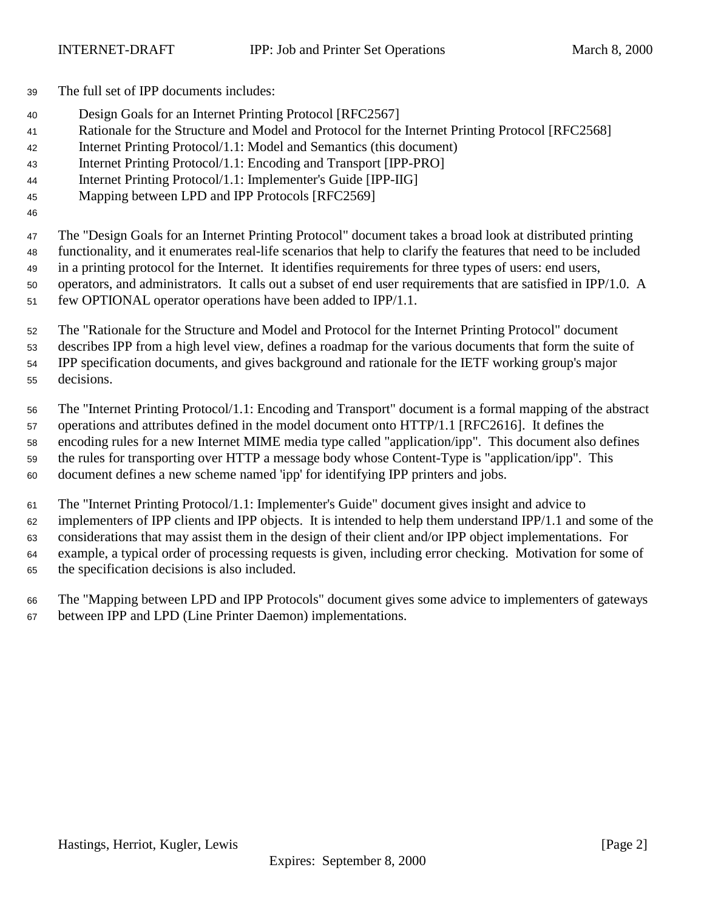The full set of IPP documents includes:

- Design Goals for an Internet Printing Protocol [RFC2567]
- Rationale for the Structure and Model and Protocol for the Internet Printing Protocol [RFC2568]
- Internet Printing Protocol/1.1: Model and Semantics (this document)
- Internet Printing Protocol/1.1: Encoding and Transport [IPP-PRO]
- Internet Printing Protocol/1.1: Implementer's Guide [IPP-IIG]
- Mapping between LPD and IPP Protocols [RFC2569]
- 

 The "Design Goals for an Internet Printing Protocol" document takes a broad look at distributed printing functionality, and it enumerates real-life scenarios that help to clarify the features that need to be included in a printing protocol for the Internet. It identifies requirements for three types of users: end users, operators, and administrators. It calls out a subset of end user requirements that are satisfied in IPP/1.0. A

few OPTIONAL operator operations have been added to IPP/1.1.

 The "Rationale for the Structure and Model and Protocol for the Internet Printing Protocol" document describes IPP from a high level view, defines a roadmap for the various documents that form the suite of IPP specification documents, and gives background and rationale for the IETF working group's major decisions.

 The "Internet Printing Protocol/1.1: Encoding and Transport" document is a formal mapping of the abstract operations and attributes defined in the model document onto HTTP/1.1 [RFC2616]. It defines the encoding rules for a new Internet MIME media type called "application/ipp". This document also defines the rules for transporting over HTTP a message body whose Content-Type is "application/ipp". This document defines a new scheme named 'ipp' for identifying IPP printers and jobs.

 The "Internet Printing Protocol/1.1: Implementer's Guide" document gives insight and advice to implementers of IPP clients and IPP objects. It is intended to help them understand IPP/1.1 and some of the considerations that may assist them in the design of their client and/or IPP object implementations. For example, a typical order of processing requests is given, including error checking. Motivation for some of the specification decisions is also included.

 The "Mapping between LPD and IPP Protocols" document gives some advice to implementers of gateways between IPP and LPD (Line Printer Daemon) implementations.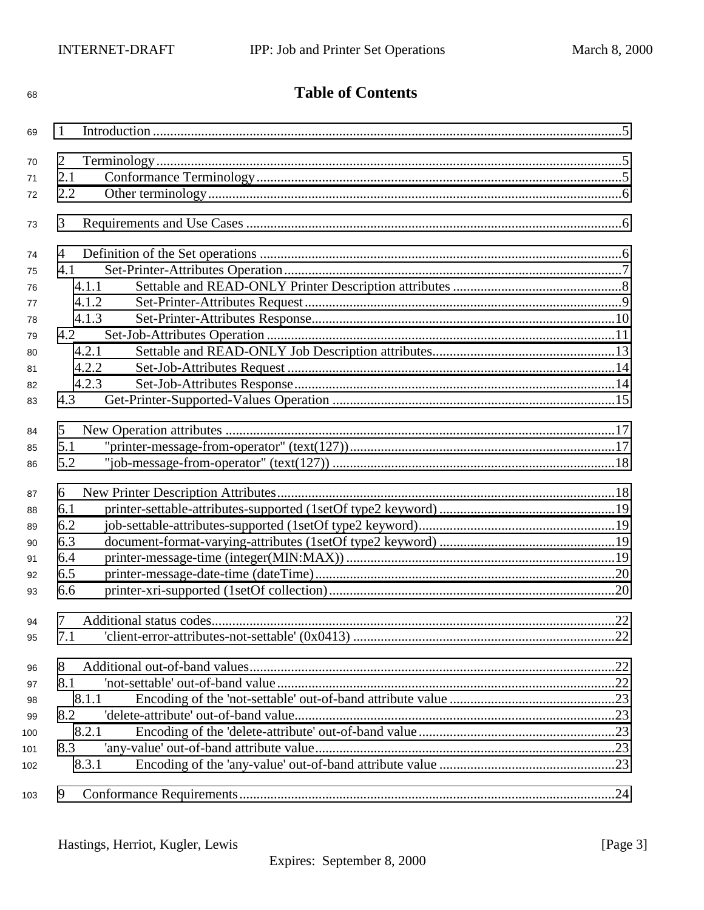| 1<br>69<br>$\overline{2}$<br>70<br>2.1<br>71<br>2.2<br>72<br>3<br>73<br>4<br>74<br>4.1<br>75<br>4.1.1<br>76<br>4.1.2<br>77<br>4.1.3<br>78<br>4.2<br>79<br>4.2.1<br>80<br>4.2.2<br>81<br>4.2.3<br>82<br>4.3<br>83<br>5<br>84<br>5.1<br>85<br>5.2<br>86<br>6<br>87<br>6.1<br>88<br>6.2<br>89<br>6.3<br>90<br>6.4<br>91<br>6.5<br>92<br>6.6<br>93<br>7<br>94<br>7.1<br>95<br>8<br>96<br>8.1<br>97<br>8.1.1<br>98<br>8.2<br>99<br>8.2.1<br>8.3<br>8.3.1<br>9 | 68 | <b>Table of Contents</b> |  |  |
|----------------------------------------------------------------------------------------------------------------------------------------------------------------------------------------------------------------------------------------------------------------------------------------------------------------------------------------------------------------------------------------------------------------------------------------------------------|----|--------------------------|--|--|
|                                                                                                                                                                                                                                                                                                                                                                                                                                                          |    |                          |  |  |
|                                                                                                                                                                                                                                                                                                                                                                                                                                                          |    |                          |  |  |
|                                                                                                                                                                                                                                                                                                                                                                                                                                                          |    |                          |  |  |
|                                                                                                                                                                                                                                                                                                                                                                                                                                                          |    |                          |  |  |
|                                                                                                                                                                                                                                                                                                                                                                                                                                                          |    |                          |  |  |
|                                                                                                                                                                                                                                                                                                                                                                                                                                                          |    |                          |  |  |
|                                                                                                                                                                                                                                                                                                                                                                                                                                                          |    |                          |  |  |
| 100<br>101<br>102<br>103                                                                                                                                                                                                                                                                                                                                                                                                                                 |    |                          |  |  |
|                                                                                                                                                                                                                                                                                                                                                                                                                                                          |    |                          |  |  |
|                                                                                                                                                                                                                                                                                                                                                                                                                                                          |    |                          |  |  |
|                                                                                                                                                                                                                                                                                                                                                                                                                                                          |    |                          |  |  |
|                                                                                                                                                                                                                                                                                                                                                                                                                                                          |    |                          |  |  |
|                                                                                                                                                                                                                                                                                                                                                                                                                                                          |    |                          |  |  |
|                                                                                                                                                                                                                                                                                                                                                                                                                                                          |    |                          |  |  |
|                                                                                                                                                                                                                                                                                                                                                                                                                                                          |    |                          |  |  |
|                                                                                                                                                                                                                                                                                                                                                                                                                                                          |    |                          |  |  |
|                                                                                                                                                                                                                                                                                                                                                                                                                                                          |    |                          |  |  |
|                                                                                                                                                                                                                                                                                                                                                                                                                                                          |    |                          |  |  |
|                                                                                                                                                                                                                                                                                                                                                                                                                                                          |    |                          |  |  |
|                                                                                                                                                                                                                                                                                                                                                                                                                                                          |    |                          |  |  |
|                                                                                                                                                                                                                                                                                                                                                                                                                                                          |    |                          |  |  |
|                                                                                                                                                                                                                                                                                                                                                                                                                                                          |    |                          |  |  |
|                                                                                                                                                                                                                                                                                                                                                                                                                                                          |    |                          |  |  |
|                                                                                                                                                                                                                                                                                                                                                                                                                                                          |    |                          |  |  |
|                                                                                                                                                                                                                                                                                                                                                                                                                                                          |    |                          |  |  |
|                                                                                                                                                                                                                                                                                                                                                                                                                                                          |    |                          |  |  |
|                                                                                                                                                                                                                                                                                                                                                                                                                                                          |    |                          |  |  |
|                                                                                                                                                                                                                                                                                                                                                                                                                                                          |    |                          |  |  |
|                                                                                                                                                                                                                                                                                                                                                                                                                                                          |    |                          |  |  |
|                                                                                                                                                                                                                                                                                                                                                                                                                                                          |    |                          |  |  |
|                                                                                                                                                                                                                                                                                                                                                                                                                                                          |    |                          |  |  |
|                                                                                                                                                                                                                                                                                                                                                                                                                                                          |    |                          |  |  |
|                                                                                                                                                                                                                                                                                                                                                                                                                                                          |    |                          |  |  |
|                                                                                                                                                                                                                                                                                                                                                                                                                                                          |    |                          |  |  |
|                                                                                                                                                                                                                                                                                                                                                                                                                                                          |    |                          |  |  |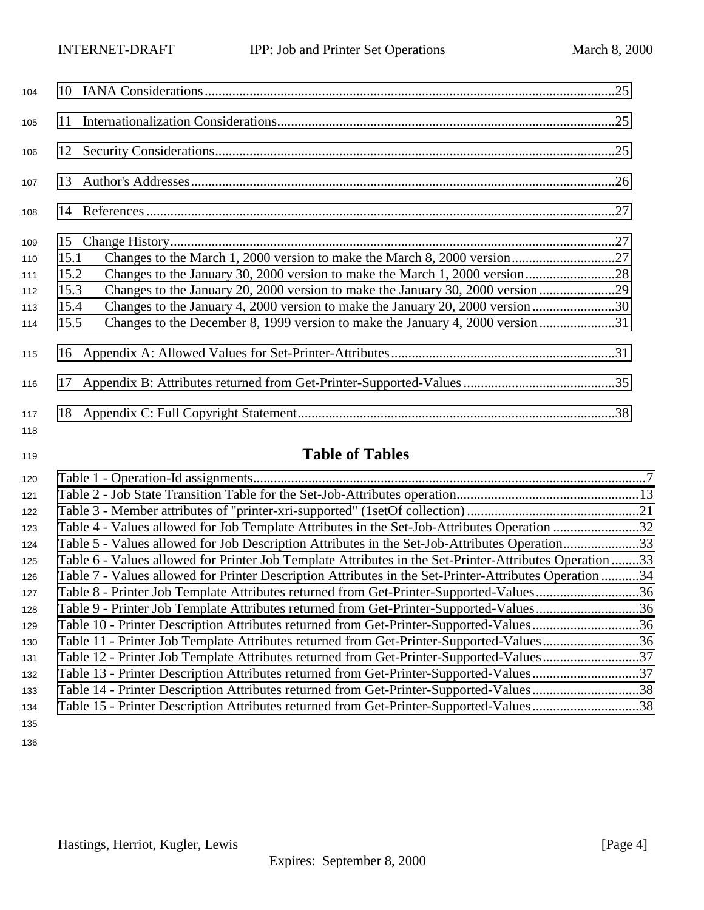| 104        |                                                                                        |  |
|------------|----------------------------------------------------------------------------------------|--|
| 105        |                                                                                        |  |
| 106        |                                                                                        |  |
| 107        |                                                                                        |  |
| 108        |                                                                                        |  |
| 109        |                                                                                        |  |
| 110        | 15.1                                                                                   |  |
| 111        | 15.2                                                                                   |  |
| 112        | Changes to the January 20, 2000 version to make the January 30, 2000 version29<br>15.3 |  |
| 113        | Changes to the January 4, 2000 version to make the January 20, 2000 version30<br>15.4  |  |
| 114        | Changes to the December 8, 1999 version to make the January 4, 2000 version31<br>15.5  |  |
| 115        |                                                                                        |  |
| 116        |                                                                                        |  |
| 117<br>118 |                                                                                        |  |

# **Table of Tables**

| 120 |                                                                                                         |  |
|-----|---------------------------------------------------------------------------------------------------------|--|
| 121 |                                                                                                         |  |
| 122 |                                                                                                         |  |
| 123 | Table 4 - Values allowed for Job Template Attributes in the Set-Job-Attributes Operation 32             |  |
| 124 | Table 5 - Values allowed for Job Description Attributes in the Set-Job-Attributes Operation33           |  |
| 125 | Table 6 - Values allowed for Printer Job Template Attributes in the Set-Printer-Attributes Operation 33 |  |
| 126 | Table 7 - Values allowed for Printer Description Attributes in the Set-Printer-Attributes Operation 34  |  |
| 127 | Table 8 - Printer Job Template Attributes returned from Get-Printer-Supported-Values36                  |  |
| 128 |                                                                                                         |  |
| 129 | Table 10 - Printer Description Attributes returned from Get-Printer-Supported-Values36                  |  |
| 130 | Table 11 - Printer Job Template Attributes returned from Get-Printer-Supported-Values36                 |  |
| 131 | Table 12 - Printer Job Template Attributes returned from Get-Printer-Supported-Values37                 |  |
| 132 | Table 13 - Printer Description Attributes returned from Get-Printer-Supported-Values37                  |  |
| 133 | Table 14 - Printer Description Attributes returned from Get-Printer-Supported-Values38                  |  |
| 134 | Table 15 - Printer Description Attributes returned from Get-Printer-Supported-Values38                  |  |
| 135 |                                                                                                         |  |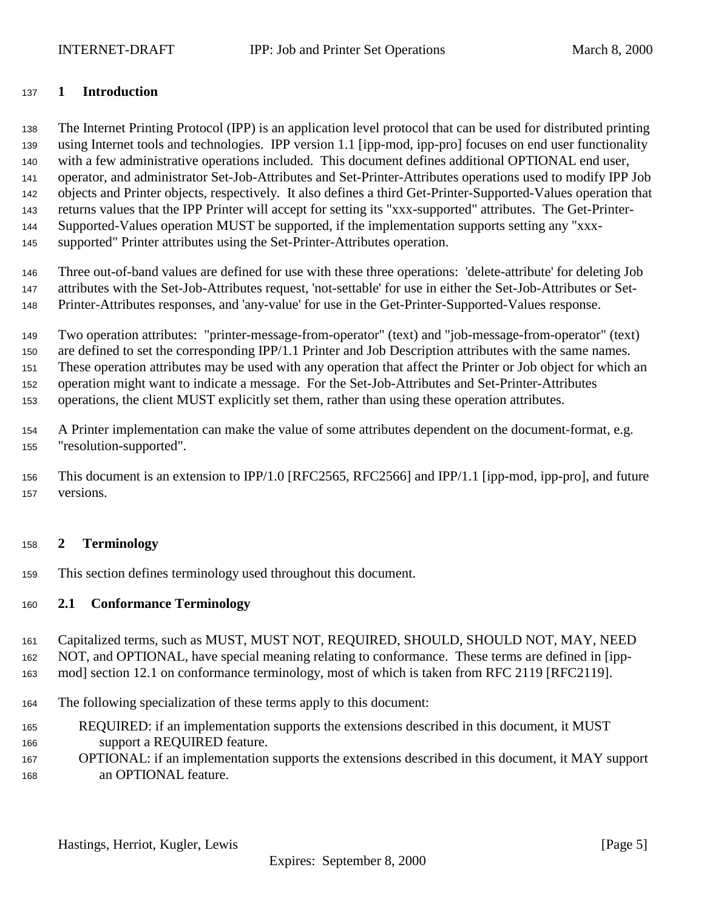### <span id="page-4-0"></span>**1 Introduction**

 The Internet Printing Protocol (IPP) is an application level protocol that can be used for distributed printing using Internet tools and technologies. IPP version 1.1 [ipp-mod, ipp-pro] focuses on end user functionality with a few administrative operations included. This document defines additional OPTIONAL end user, operator, and administrator Set-Job-Attributes and Set-Printer-Attributes operations used to modify IPP Job objects and Printer objects, respectively. It also defines a third Get-Printer-Supported-Values operation that returns values that the IPP Printer will accept for setting its "xxx-supported" attributes. The Get-Printer- Supported-Values operation MUST be supported, if the implementation supports setting any "xxx-supported" Printer attributes using the Set-Printer-Attributes operation.

 Three out-of-band values are defined for use with these three operations: 'delete-attribute' for deleting Job attributes with the Set-Job-Attributes request, 'not-settable' for use in either the Set-Job-Attributes or Set-Printer-Attributes responses, and 'any-value' for use in the Get-Printer-Supported-Values response.

 Two operation attributes: "printer-message-from-operator" (text) and "job-message-from-operator" (text) are defined to set the corresponding IPP/1.1 Printer and Job Description attributes with the same names. These operation attributes may be used with any operation that affect the Printer or Job object for which an operation might want to indicate a message. For the Set-Job-Attributes and Set-Printer-Attributes operations, the client MUST explicitly set them, rather than using these operation attributes.

 A Printer implementation can make the value of some attributes dependent on the document-format, e.g. "resolution-supported".

 This document is an extension to IPP/1.0 [RFC2565, RFC2566] and IPP/1.1 [ipp-mod, ipp-pro], and future versions.

#### **2 Terminology**

This section defines terminology used throughout this document.

#### **2.1 Conformance Terminology**

 Capitalized terms, such as MUST, MUST NOT, REQUIRED, SHOULD, SHOULD NOT, MAY, NEED NOT, and OPTIONAL, have special meaning relating to conformance. These terms are defined in [ipp-mod] section 12.1 on conformance terminology, most of which is taken from RFC 2119 [RFC2119].

- The following specialization of these terms apply to this document:
- REQUIRED: if an implementation supports the extensions described in this document, it MUST support a REQUIRED feature.
- OPTIONAL: if an implementation supports the extensions described in this document, it MAY support an OPTIONAL feature.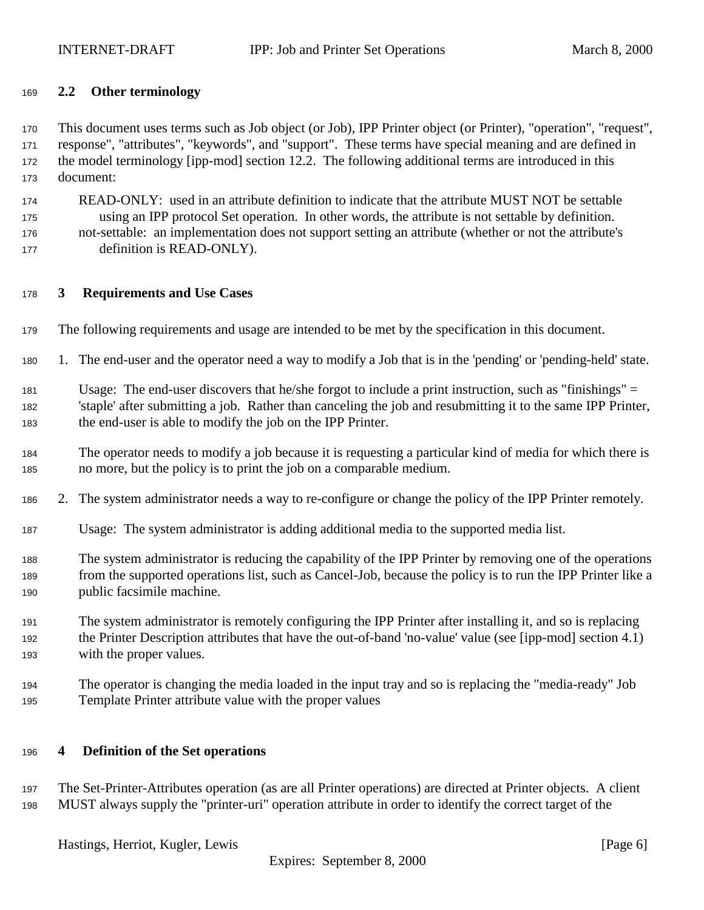# <span id="page-5-0"></span>**2.2 Other terminology**

 This document uses terms such as Job object (or Job), IPP Printer object (or Printer), "operation", "request", response", "attributes", "keywords", and "support". These terms have special meaning and are defined in the model terminology [ipp-mod] section 12.2. The following additional terms are introduced in this document:

- READ-ONLY: used in an attribute definition to indicate that the attribute MUST NOT be settable using an IPP protocol Set operation. In other words, the attribute is not settable by definition. not-settable: an implementation does not support setting an attribute (whether or not the attribute's definition is READ-ONLY).
- 

# **3 Requirements and Use Cases**

- The following requirements and usage are intended to be met by the specification in this document.
- 1. The end-user and the operator need a way to modify a Job that is in the 'pending' or 'pending-held' state.

 Usage: The end-user discovers that he/she forgot to include a print instruction, such as "finishings" = 'staple' after submitting a job. Rather than canceling the job and resubmitting it to the same IPP Printer, the end-user is able to modify the job on the IPP Printer.

- The operator needs to modify a job because it is requesting a particular kind of media for which there is no more, but the policy is to print the job on a comparable medium.
- 2. The system administrator needs a way to re-configure or change the policy of the IPP Printer remotely.
- Usage: The system administrator is adding additional media to the supported media list.
- The system administrator is reducing the capability of the IPP Printer by removing one of the operations from the supported operations list, such as Cancel-Job, because the policy is to run the IPP Printer like a public facsimile machine.
- The system administrator is remotely configuring the IPP Printer after installing it, and so is replacing the Printer Description attributes that have the out-of-band 'no-value' value (see [ipp-mod] section 4.1) with the proper values.
- The operator is changing the media loaded in the input tray and so is replacing the "media-ready" Job Template Printer attribute value with the proper values

#### **4 Definition of the Set operations**

 The Set-Printer-Attributes operation (as are all Printer operations) are directed at Printer objects. A client MUST always supply the "printer-uri" operation attribute in order to identify the correct target of the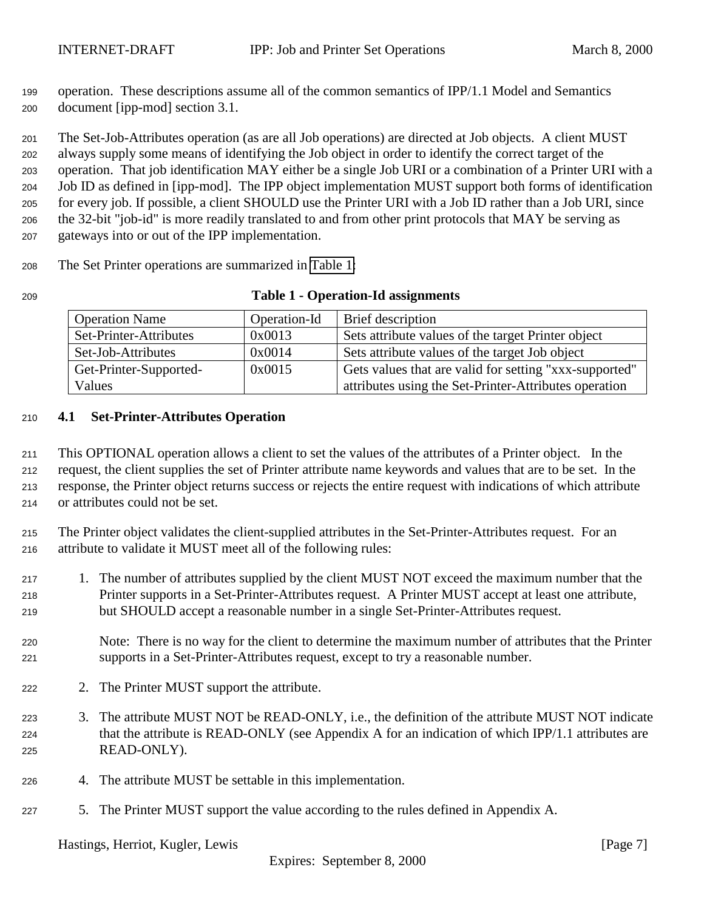<span id="page-6-0"></span> operation. These descriptions assume all of the common semantics of IPP/1.1 Model and Semantics document [ipp-mod] section 3.1.

 The Set-Job-Attributes operation (as are all Job operations) are directed at Job objects. A client MUST always supply some means of identifying the Job object in order to identify the correct target of the operation. That job identification MAY either be a single Job URI or a combination of a Printer URI with a Job ID as defined in [ipp-mod]. The IPP object implementation MUST support both forms of identification for every job. If possible, a client SHOULD use the Printer URI with a Job ID rather than a Job URI, since the 32-bit "job-id" is more readily translated to and from other print protocols that MAY be serving as gateways into or out of the IPP implementation.

The Set Printer operations are summarized in Table 1:

| 209 | <b>Table 1 - Operation-Id assignments</b> |  |
|-----|-------------------------------------------|--|
|-----|-------------------------------------------|--|

| <b>Operation Name</b>  | Operation-Id | Brief description                                      |
|------------------------|--------------|--------------------------------------------------------|
| Set-Printer-Attributes | 0x0013       | Sets attribute values of the target Printer object     |
| Set-Job-Attributes     | 0x0014       | Sets attribute values of the target Job object         |
| Get-Printer-Supported- | 0x0015       | Gets values that are valid for setting "xxx-supported" |
| Values                 |              | attributes using the Set-Printer-Attributes operation  |

# **4.1 Set-Printer-Attributes Operation**

 This OPTIONAL operation allows a client to set the values of the attributes of a Printer object. In the request, the client supplies the set of Printer attribute name keywords and values that are to be set. In the response, the Printer object returns success or rejects the entire request with indications of which attribute or attributes could not be set.

 The Printer object validates the client-supplied attributes in the Set-Printer-Attributes request. For an attribute to validate it MUST meet all of the following rules:

 1. The number of attributes supplied by the client MUST NOT exceed the maximum number that the Printer supports in a Set-Printer-Attributes request. A Printer MUST accept at least one attribute, but SHOULD accept a reasonable number in a single Set-Printer-Attributes request.

- Note: There is no way for the client to determine the maximum number of attributes that the Printer supports in a Set-Printer-Attributes request, except to try a reasonable number.
- 222 2. The Printer MUST support the attribute.
- 3. The attribute MUST NOT be READ-ONLY, i.e., the definition of the attribute MUST NOT indicate that the attribute is READ-ONLY (see Appendix A for an indication of which IPP/1.1 attributes are READ-ONLY).
- 4. The attribute MUST be settable in this implementation.
- 5. The Printer MUST support the value according to the rules defined in Appendix A.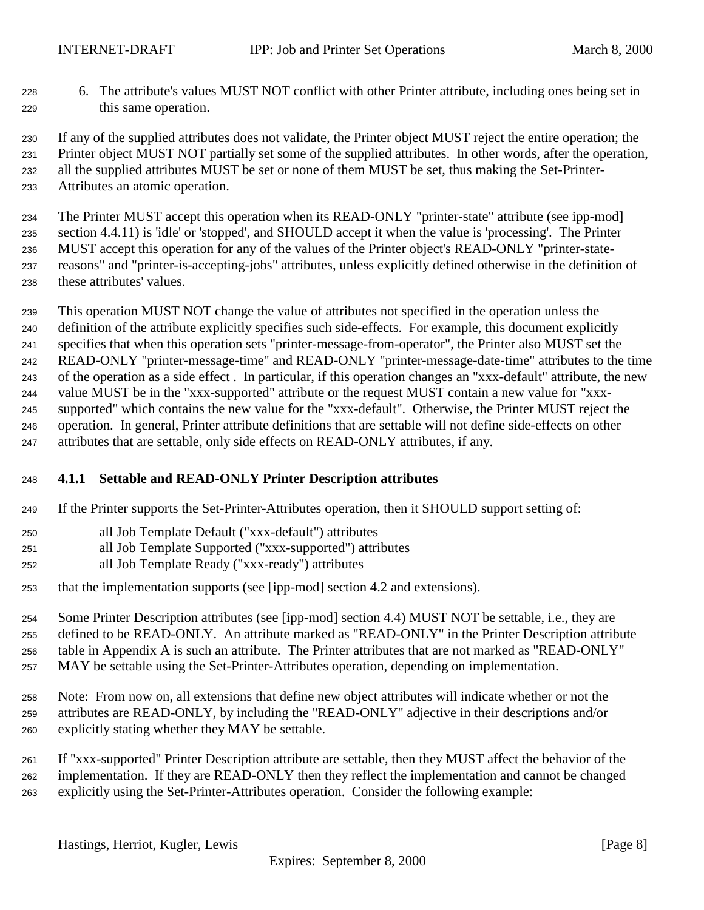<span id="page-7-0"></span> 6. The attribute's values MUST NOT conflict with other Printer attribute, including ones being set in this same operation.

 If any of the supplied attributes does not validate, the Printer object MUST reject the entire operation; the Printer object MUST NOT partially set some of the supplied attributes. In other words, after the operation, all the supplied attributes MUST be set or none of them MUST be set, thus making the Set-Printer-Attributes an atomic operation.

 The Printer MUST accept this operation when its READ-ONLY "printer-state" attribute (see ipp-mod] section 4.4.11) is 'idle' or 'stopped', and SHOULD accept it when the value is 'processing'. The Printer MUST accept this operation for any of the values of the Printer object's READ-ONLY "printer-state- reasons" and "printer-is-accepting-jobs" attributes, unless explicitly defined otherwise in the definition of these attributes' values.

 This operation MUST NOT change the value of attributes not specified in the operation unless the definition of the attribute explicitly specifies such side-effects. For example, this document explicitly specifies that when this operation sets "printer-message-from-operator", the Printer also MUST set the READ-ONLY "printer-message-time" and READ-ONLY "printer-message-date-time" attributes to the time of the operation as a side effect . In particular, if this operation changes an "xxx-default" attribute, the new value MUST be in the "xxx-supported" attribute or the request MUST contain a new value for "xxx- supported" which contains the new value for the "xxx-default". Otherwise, the Printer MUST reject the operation. In general, Printer attribute definitions that are settable will not define side-effects on other attributes that are settable, only side effects on READ-ONLY attributes, if any.

# **4.1.1 Settable and READ-ONLY Printer Description attributes**

- If the Printer supports the Set-Printer-Attributes operation, then it SHOULD support setting of:
- all Job Template Default ("xxx-default") attributes
- all Job Template Supported ("xxx-supported") attributes
- all Job Template Ready ("xxx-ready") attributes
- that the implementation supports (see [ipp-mod] section 4.2 and extensions).

 Some Printer Description attributes (see [ipp-mod] section 4.4) MUST NOT be settable, i.e., they are defined to be READ-ONLY. An attribute marked as "READ-ONLY" in the Printer Description attribute table in Appendix A is such an attribute. The Printer attributes that are not marked as "READ-ONLY" MAY be settable using the Set-Printer-Attributes operation, depending on implementation.

 Note: From now on, all extensions that define new object attributes will indicate whether or not the attributes are READ-ONLY, by including the "READ-ONLY" adjective in their descriptions and/or explicitly stating whether they MAY be settable.

 If "xxx-supported" Printer Description attribute are settable, then they MUST affect the behavior of the implementation. If they are READ-ONLY then they reflect the implementation and cannot be changed explicitly using the Set-Printer-Attributes operation. Consider the following example: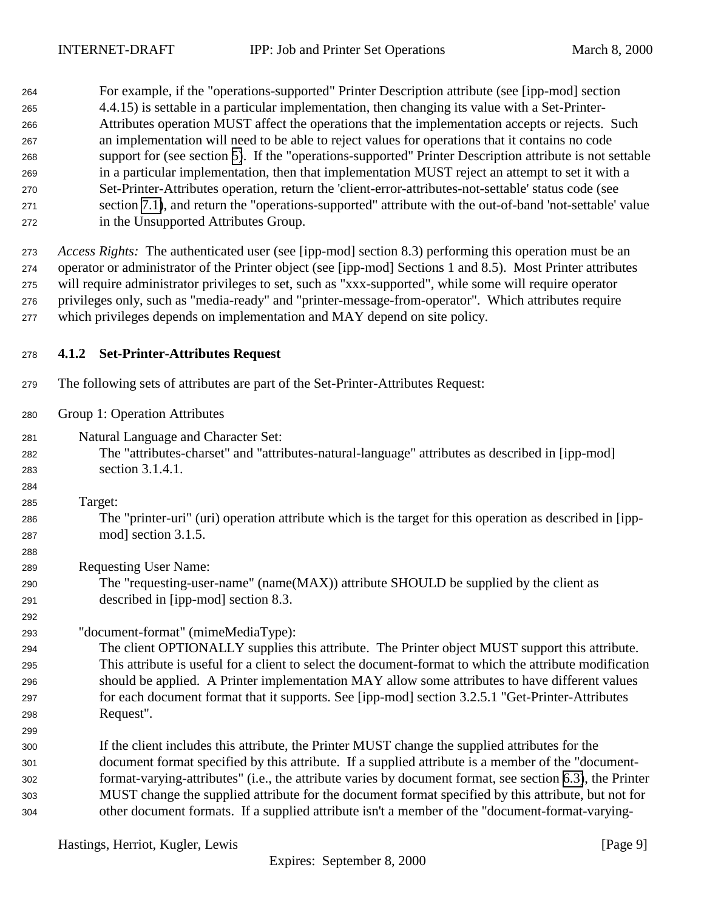<span id="page-8-0"></span>

| 264 | For example, if the "operations-supported" Printer Description attribute (see [ipp-mod] section          |
|-----|----------------------------------------------------------------------------------------------------------|
| 265 | 4.4.15) is settable in a particular implementation, then changing its value with a Set-Printer-          |
| 266 | Attributes operation MUST affect the operations that the implementation accepts or rejects. Such         |
| 267 | an implementation will need to be able to reject values for operations that it contains no code          |
| 268 | support for (see section 5). If the "operations-supported" Printer Description attribute is not settable |
| 269 | in a particular implementation, then that implementation MUST reject an attempt to set it with a         |
| 270 | Set-Printer-Attributes operation, return the 'client-error-attributes-not-settable' status code (see     |
| 271 | section 7.1), and return the "operations-supported" attribute with the out-of-band 'not-settable' value  |
| 272 | in the Unsupported Attributes Group.                                                                     |

 *Access Rights:*The authenticated user (see [ipp-mod] section 8.3) performing this operation must be an operator or administrator of the Printer object (see [ipp-mod] Sections 1 and 8.5). Most Printer attributes will require administrator privileges to set, such as "xxx-supported", while some will require operator privileges only, such as "media-ready" and "printer-message-from-operator". Which attributes require which privileges depends on implementation and MAY depend on site policy.

# **4.1.2 Set-Printer-Attributes Request**

The following sets of attributes are part of the Set-Printer-Attributes Request:

Group 1: Operation Attributes

- Natural Language and Character Set:
- The "attributes-charset" and "attributes-natural-language" attributes as described in [ipp-mod] section 3.1.4.1.

Target:

 The "printer-uri" (uri) operation attribute which is the target for this operation as described in [ipp-mod] section 3.1.5.

Requesting User Name:

 The "requesting-user-name" (name(MAX)) attribute SHOULD be supplied by the client as described in [ipp-mod] section 8.3.

# "document-format" (mimeMediaType):

 The client OPTIONALLY supplies this attribute. The Printer object MUST support this attribute. This attribute is useful for a client to select the document-format to which the attribute modification should be applied. A Printer implementation MAY allow some attributes to have different values for each document format that it supports. See [ipp-mod] section 3.2.5.1 "Get-Printer-Attributes Request".

 If the client includes this attribute, the Printer MUST change the supplied attributes for the document format specified by this attribute. If a supplied attribute is a member of the "document- format-varying-attributes" (i.e., the attribute varies by document format, see section [6.3\)](#page-18-0), the Printer MUST change the supplied attribute for the document format specified by this attribute, but not for other document formats. If a supplied attribute isn't a member of the "document-format-varying-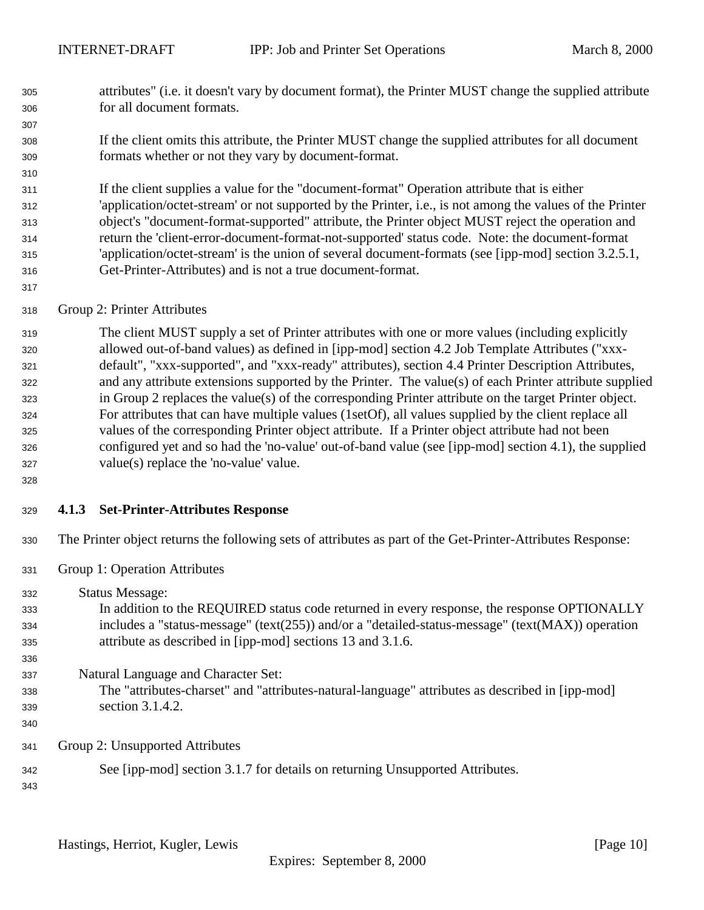- <span id="page-9-0"></span> attributes" (i.e. it doesn't vary by document format), the Printer MUST change the supplied attribute for all document formats.
- If the client omits this attribute, the Printer MUST change the supplied attributes for all document formats whether or not they vary by document-format.
- If the client supplies a value for the "document-format" Operation attribute that is either 'application/octet-stream' or not supported by the Printer, i.e., is not among the values of the Printer object's "document-format-supported" attribute, the Printer object MUST reject the operation and return the 'client-error-document-format-not-supported' status code. Note: the document-format 'application/octet-stream' is the union of several document-formats (see [ipp-mod] section 3.2.5.1, Get-Printer-Attributes) and is not a true document-format.
- 

Group 2: Printer Attributes

 The client MUST supply a set of Printer attributes with one or more values (including explicitly allowed out-of-band values) as defined in [ipp-mod] section 4.2 Job Template Attributes ("xxx- default", "xxx-supported", and "xxx-ready" attributes), section 4.4 Printer Description Attributes, and any attribute extensions supported by the Printer. The value(s) of each Printer attribute supplied in Group 2 replaces the value(s) of the corresponding Printer attribute on the target Printer object. For attributes that can have multiple values (1setOf), all values supplied by the client replace all values of the corresponding Printer object attribute. If a Printer object attribute had not been configured yet and so had the 'no-value' out-of-band value (see [ipp-mod] section 4.1), the supplied value(s) replace the 'no-value' value.

#### **4.1.3 Set-Printer-Attributes Response**

The Printer object returns the following sets of attributes as part of the Get-Printer-Attributes Response:

- Group 1: Operation Attributes
- Status Message: In addition to the REQUIRED status code returned in every response, the response OPTIONALLY includes a "status-message" (text(255)) and/or a "detailed-status-message" (text(MAX)) operation attribute as described in [ipp-mod] sections 13 and 3.1.6. Natural Language and Character Set: The "attributes-charset" and "attributes-natural-language" attributes as described in [ipp-mod] section 3.1.4.2. Group 2: Unsupported Attributes See [ipp-mod] section 3.1.7 for details on returning Unsupported Attributes.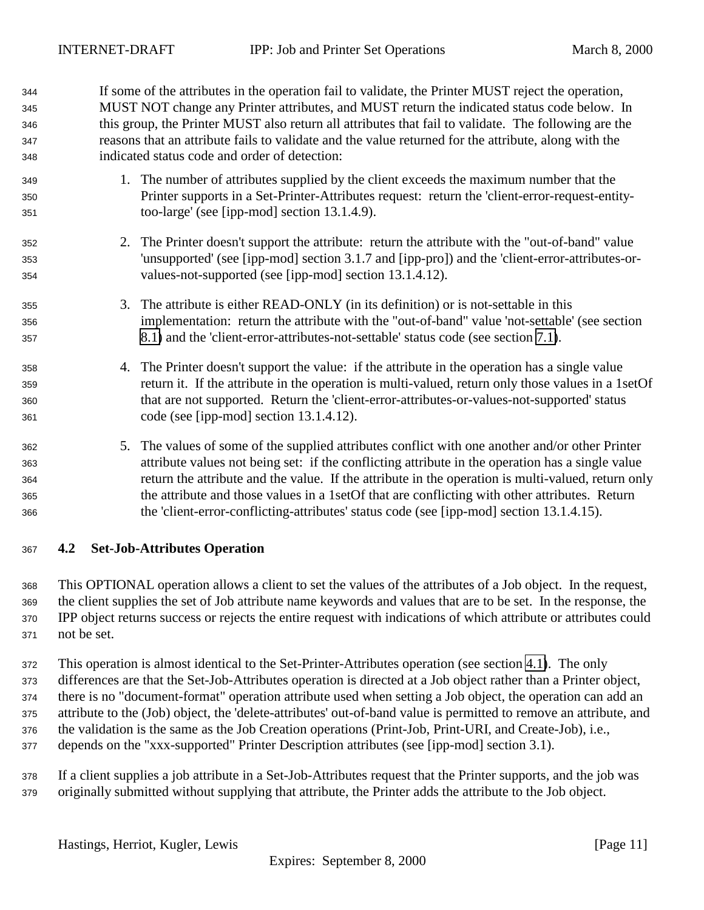<span id="page-10-0"></span> If some of the attributes in the operation fail to validate, the Printer MUST reject the operation, MUST NOT change any Printer attributes, and MUST return the indicated status code below. In this group, the Printer MUST also return all attributes that fail to validate. The following are the reasons that an attribute fails to validate and the value returned for the attribute, along with the indicated status code and order of detection:

- 1. The number of attributes supplied by the client exceeds the maximum number that the Printer supports in a Set-Printer-Attributes request: return the 'client-error-request-entity-too-large' (see [ipp-mod] section 13.1.4.9).
- 2. The Printer doesn't support the attribute: return the attribute with the "out-of-band" value 'unsupported' (see [ipp-mod] section 3.1.7 and [ipp-pro]) and the 'client-error-attributes-or-values-not-supported (see [ipp-mod] section 13.1.4.12).
- 355 35. The attribute is either READ-ONLY (in its definition) or is not-settable in this implementation: return the attribute with the "out-of-band" value 'not-settable' (see section [8.1\)](#page-21-0) and the 'client-error-attributes-not-settable' status code (see section [7.1\)](#page-21-0).
- 4. The Printer doesn't support the value: if the attribute in the operation has a single value return it. If the attribute in the operation is multi-valued, return only those values in a 1setOf that are not supported. Return the 'client-error-attributes-or-values-not-supported' status code (see [ipp-mod] section 13.1.4.12).
- 5. The values of some of the supplied attributes conflict with one another and/or other Printer attribute values not being set: if the conflicting attribute in the operation has a single value return the attribute and the value. If the attribute in the operation is multi-valued, return only the attribute and those values in a 1setOf that are conflicting with other attributes. Return the 'client-error-conflicting-attributes' status code (see [ipp-mod] section 13.1.4.15).
- **4.2 Set-Job-Attributes Operation**

 This OPTIONAL operation allows a client to set the values of the attributes of a Job object. In the request, the client supplies the set of Job attribute name keywords and values that are to be set. In the response, the IPP object returns success or rejects the entire request with indications of which attribute or attributes could not be set.

 This operation is almost identical to the Set-Printer-Attributes operation (see section [4.1\)](#page-6-0). The only differences are that the Set-Job-Attributes operation is directed at a Job object rather than a Printer object, there is no "document-format" operation attribute used when setting a Job object, the operation can add an attribute to the (Job) object, the 'delete-attributes' out-of-band value is permitted to remove an attribute, and the validation is the same as the Job Creation operations (Print-Job, Print-URI, and Create-Job), i.e., depends on the "xxx-supported" Printer Description attributes (see [ipp-mod] section 3.1).

 If a client supplies a job attribute in a Set-Job-Attributes request that the Printer supports, and the job was originally submitted without supplying that attribute, the Printer adds the attribute to the Job object.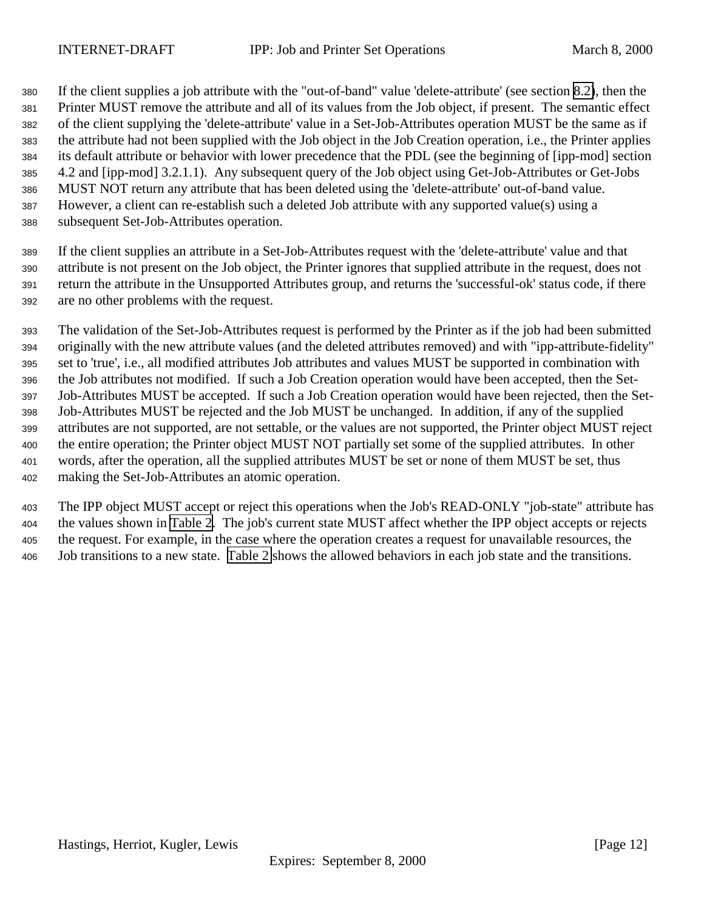If the client supplies a job attribute with the "out-of-band" value 'delete-attribute' (see section [8.2\)](#page-22-0), then the Printer MUST remove the attribute and all of its values from the Job object, if present. The semantic effect of the client supplying the 'delete-attribute' value in a Set-Job-Attributes operation MUST be the same as if the attribute had not been supplied with the Job object in the Job Creation operation, i.e., the Printer applies its default attribute or behavior with lower precedence that the PDL (see the beginning of [ipp-mod] section 4.2 and [ipp-mod] 3.2.1.1). Any subsequent query of the Job object using Get-Job-Attributes or Get-Jobs MUST NOT return any attribute that has been deleted using the 'delete-attribute' out-of-band value. However, a client can re-establish such a deleted Job attribute with any supported value(s) using a subsequent Set-Job-Attributes operation.

 If the client supplies an attribute in a Set-Job-Attributes request with the 'delete-attribute' value and that attribute is not present on the Job object, the Printer ignores that supplied attribute in the request, does not return the attribute in the Unsupported Attributes group, and returns the 'successful-ok' status code, if there are no other problems with the request.

 The validation of the Set-Job-Attributes request is performed by the Printer as if the job had been submitted originally with the new attribute values (and the deleted attributes removed) and with "ipp-attribute-fidelity" set to 'true', i.e., all modified attributes Job attributes and values MUST be supported in combination with the Job attributes not modified. If such a Job Creation operation would have been accepted, then the Set- Job-Attributes MUST be accepted. If such a Job Creation operation would have been rejected, then the Set- Job-Attributes MUST be rejected and the Job MUST be unchanged. In addition, if any of the supplied attributes are not supported, are not settable, or the values are not supported, the Printer object MUST reject the entire operation; the Printer object MUST NOT partially set some of the supplied attributes. In other words, after the operation, all the supplied attributes MUST be set or none of them MUST be set, thus making the Set-Job-Attributes an atomic operation.

 The IPP object MUST accept or reject this operations when the Job's READ-ONLY "job-state" attribute has the values shown in [Table 2.](#page-12-0) The job's current state MUST affect whether the IPP object accepts or rejects the request. For example, in the case where the operation creates a request for unavailable resources, the Job transitions to a new state. [Table 2](#page-12-0) shows the allowed behaviors in each job state and the transitions.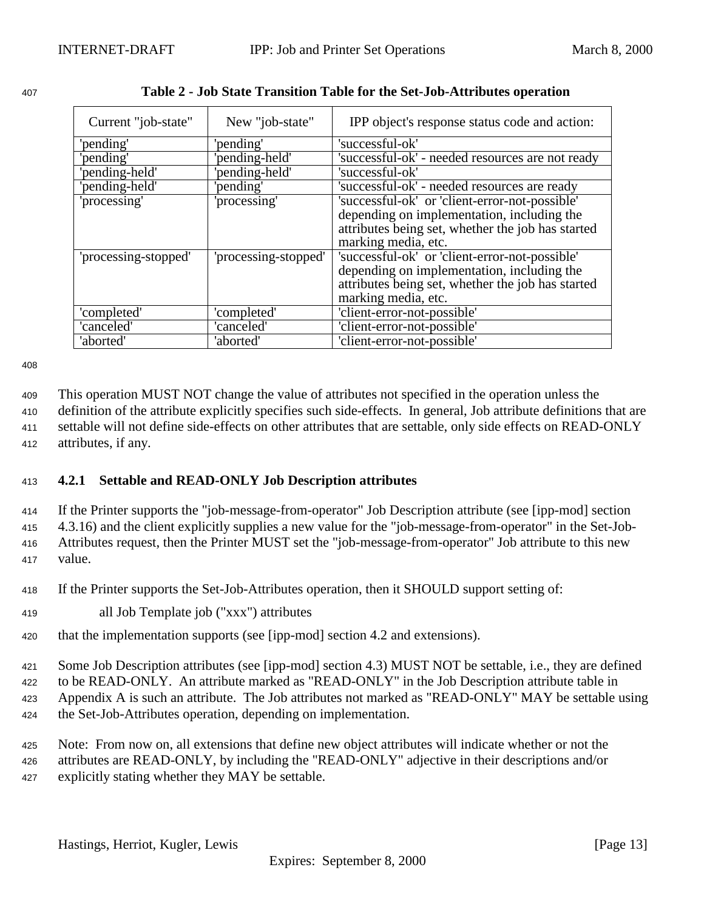| Current "job-state"  | New "job-state"      | IPP object's response status code and action:     |
|----------------------|----------------------|---------------------------------------------------|
| 'pending'            | 'pending'            | 'successful-ok'                                   |
| 'pending'            | 'pending-held'       | 'successful-ok' - needed resources are not ready  |
| 'pending-held'       | 'pending-held'       | 'successful-ok'                                   |
| 'pending-held'       | 'pending'            | 'successful-ok' - needed resources are ready      |
| 'processing'         | 'processing'         | 'successful-ok' or 'client-error-not-possible'    |
|                      |                      | depending on implementation, including the        |
|                      |                      | attributes being set, whether the job has started |
|                      |                      | marking media, etc.                               |
| 'processing-stopped' | 'processing-stopped' | 'successful-ok' or 'client-error-not-possible'    |
|                      |                      | depending on implementation, including the        |
|                      |                      | attributes being set, whether the job has started |
|                      |                      | marking media, etc.                               |
| 'completed'          | 'completed'          | 'client-error-not-possible'                       |
| 'canceled'           | 'canceled'           | 'client-error-not-possible'                       |
| 'aborted'            | 'aborted'            | 'client-error-not-possible'                       |

<span id="page-12-0"></span>

| 407 | Table 2 - Job State Transition Table for the Set-Job-Attributes operation |  |
|-----|---------------------------------------------------------------------------|--|
|     |                                                                           |  |

408

 This operation MUST NOT change the value of attributes not specified in the operation unless the definition of the attribute explicitly specifies such side-effects. In general, Job attribute definitions that are settable will not define side-effects on other attributes that are settable, only side effects on READ-ONLY attributes, if any.

# <sup>413</sup> **4.2.1 Settable and READ-ONLY Job Description attributes**

 If the Printer supports the "job-message-from-operator" Job Description attribute (see [ipp-mod] section 4.3.16) and the client explicitly supplies a new value for the "job-message-from-operator" in the Set-Job- Attributes request, then the Printer MUST set the "job-message-from-operator" Job attribute to this new <sup>417</sup> value.

<sup>418</sup> If the Printer supports the Set-Job-Attributes operation, then it SHOULD support setting of:

<sup>419</sup> all Job Template job ("xxx") attributes

<sup>420</sup> that the implementation supports (see [ipp-mod] section 4.2 and extensions).

<sup>421</sup> Some Job Description attributes (see [ipp-mod] section 4.3) MUST NOT be settable, i.e., they are defined

<sup>422</sup> to be READ-ONLY. An attribute marked as "READ-ONLY" in the Job Description attribute table in <sup>423</sup> Appendix A is such an attribute. The Job attributes not marked as "READ-ONLY" MAY be settable using

<sup>424</sup> the Set-Job-Attributes operation, depending on implementation.

<sup>425</sup> Note: From now on, all extensions that define new object attributes will indicate whether or not the <sup>426</sup> attributes are READ-ONLY, by including the "READ-ONLY" adjective in their descriptions and/or <sup>427</sup> explicitly stating whether they MAY be settable.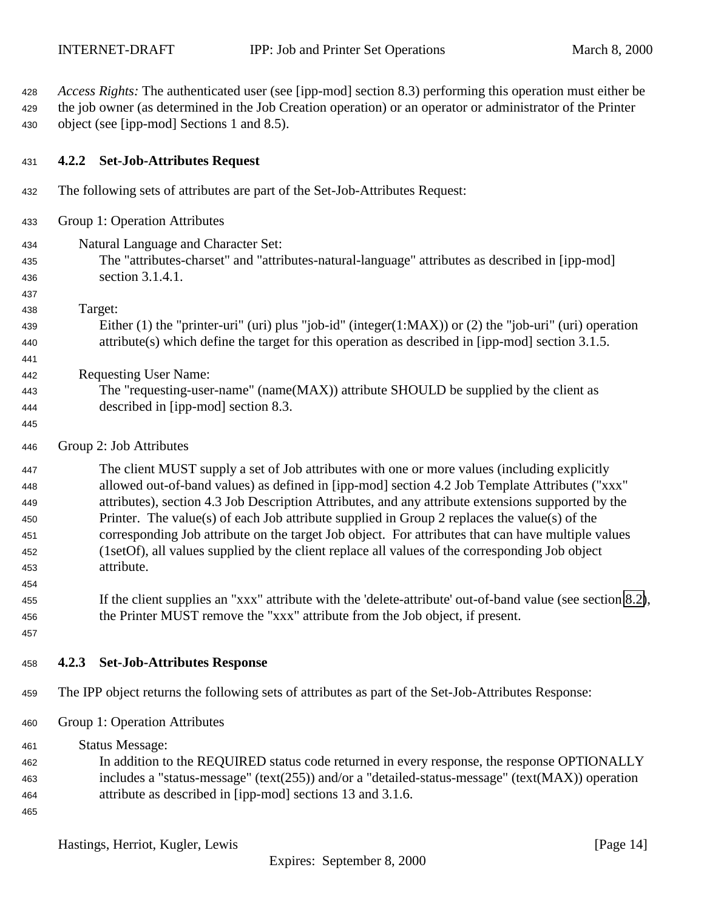<span id="page-13-0"></span> *Access Rights:* The authenticated user (see [ipp-mod] section 8.3) performing this operation must either be the job owner (as determined in the Job Creation operation) or an operator or administrator of the Printer object (see [ipp-mod] Sections 1 and 8.5).

#### **4.2.2 Set-Job-Attributes Request**

- The following sets of attributes are part of the Set-Job-Attributes Request:
- Group 1: Operation Attributes
- Natural Language and Character Set:
- The "attributes-charset" and "attributes-natural-language" attributes as described in [ipp-mod] section 3.1.4.1.
- Target:

- Either (1) the "printer-uri" (uri) plus "job-id" (integer(1:MAX)) or (2) the "job-uri" (uri) operation attribute(s) which define the target for this operation as described in [ipp-mod] section 3.1.5.
- Requesting User Name:
- The "requesting-user-name" (name(MAX)) attribute SHOULD be supplied by the client as described in [ipp-mod] section 8.3.
- 
- Group 2: Job Attributes

 The client MUST supply a set of Job attributes with one or more values (including explicitly allowed out-of-band values) as defined in [ipp-mod] section 4.2 Job Template Attributes ("xxx" attributes), section 4.3 Job Description Attributes, and any attribute extensions supported by the Printer. The value(s) of each Job attribute supplied in Group 2 replaces the value(s) of the corresponding Job attribute on the target Job object. For attributes that can have multiple values (1setOf), all values supplied by the client replace all values of the corresponding Job object attribute.

- If the client supplies an "xxx" attribute with the 'delete-attribute' out-of-band value (see section [8.2\)](#page-22-0), the Printer MUST remove the "xxx" attribute from the Job object, if present.
- 

- **4.2.3 Set-Job-Attributes Response**
- The IPP object returns the following sets of attributes as part of the Set-Job-Attributes Response:
- Group 1: Operation Attributes
- Status Message: In addition to the REQUIRED status code returned in every response, the response OPTIONALLY includes a "status-message" (text(255)) and/or a "detailed-status-message" (text(MAX)) operation attribute as described in [ipp-mod] sections 13 and 3.1.6.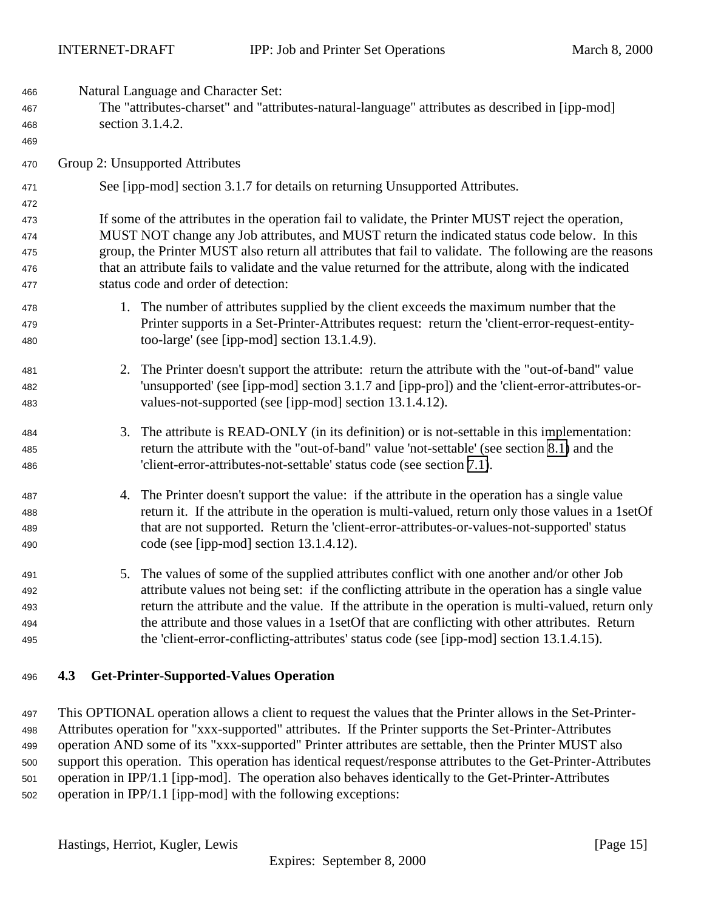<span id="page-14-0"></span>

| 466<br>467<br>468<br>469 | Natural Language and Character Set:<br>The "attributes-charset" and "attributes-natural-language" attributes as described in [ipp-mod]<br>section 3.1.4.2. |                                                                                                                                                                                                         |  |
|--------------------------|------------------------------------------------------------------------------------------------------------------------------------------------------------|---------------------------------------------------------------------------------------------------------------------------------------------------------------------------------------------------------|--|
| 470                      |                                                                                                                                                            | Group 2: Unsupported Attributes                                                                                                                                                                         |  |
| 471                      |                                                                                                                                                            | See [ipp-mod] section 3.1.7 for details on returning Unsupported Attributes.                                                                                                                            |  |
| 472                      |                                                                                                                                                            |                                                                                                                                                                                                         |  |
| 473                      |                                                                                                                                                            | If some of the attributes in the operation fail to validate, the Printer MUST reject the operation,                                                                                                     |  |
| 474<br>475               |                                                                                                                                                            | MUST NOT change any Job attributes, and MUST return the indicated status code below. In this<br>group, the Printer MUST also return all attributes that fail to validate. The following are the reasons |  |
| 476                      |                                                                                                                                                            | that an attribute fails to validate and the value returned for the attribute, along with the indicated                                                                                                  |  |
| 477                      |                                                                                                                                                            | status code and order of detection:                                                                                                                                                                     |  |
| 478                      |                                                                                                                                                            | 1. The number of attributes supplied by the client exceeds the maximum number that the                                                                                                                  |  |
| 479                      |                                                                                                                                                            | Printer supports in a Set-Printer-Attributes request: return the 'client-error-request-entity-                                                                                                          |  |
| 480                      |                                                                                                                                                            | too-large' (see [ipp-mod] section 13.1.4.9).                                                                                                                                                            |  |
| 481                      | 2.                                                                                                                                                         | The Printer doesn't support the attribute: return the attribute with the "out-of-band" value                                                                                                            |  |
| 482                      |                                                                                                                                                            | 'unsupported' (see [ipp-mod] section 3.1.7 and [ipp-pro]) and the 'client-error-attributes-or-                                                                                                          |  |
| 483                      |                                                                                                                                                            | values-not-supported (see [ipp-mod] section 13.1.4.12).                                                                                                                                                 |  |
| 484                      | 3.                                                                                                                                                         | The attribute is READ-ONLY (in its definition) or is not-settable in this implementation:                                                                                                               |  |
| 485                      |                                                                                                                                                            | return the attribute with the "out-of-band" value 'not-settable' (see section 8.1) and the                                                                                                              |  |
| 486                      |                                                                                                                                                            | 'client-error-attributes-not-settable' status code (see section 7.1).                                                                                                                                   |  |
| 487                      |                                                                                                                                                            | 4. The Printer doesn't support the value: if the attribute in the operation has a single value                                                                                                          |  |
| 488                      |                                                                                                                                                            | return it. If the attribute in the operation is multi-valued, return only those values in a 1setOf                                                                                                      |  |
| 489                      |                                                                                                                                                            | that are not supported. Return the 'client-error-attributes-or-values-not-supported' status                                                                                                             |  |
| 490                      |                                                                                                                                                            | code (see [ipp-mod] section $13.1.4.12$ ).                                                                                                                                                              |  |
| 491                      |                                                                                                                                                            | 5. The values of some of the supplied attributes conflict with one another and/or other Job                                                                                                             |  |
| 492                      |                                                                                                                                                            | attribute values not being set: if the conflicting attribute in the operation has a single value                                                                                                        |  |
| 493                      |                                                                                                                                                            | return the attribute and the value. If the attribute in the operation is multi-valued, return only                                                                                                      |  |
| 494                      |                                                                                                                                                            | the attribute and those values in a 1set Of that are conflicting with other attributes. Return                                                                                                          |  |
| 495                      |                                                                                                                                                            | the 'client-error-conflicting-attributes' status code (see [ipp-mod] section 13.1.4.15).                                                                                                                |  |

# **4.3 Get-Printer-Supported-Values Operation**

 This OPTIONAL operation allows a client to request the values that the Printer allows in the Set-Printer- Attributes operation for "xxx-supported" attributes. If the Printer supports the Set-Printer-Attributes operation AND some of its "xxx-supported" Printer attributes are settable, then the Printer MUST also support this operation. This operation has identical request/response attributes to the Get-Printer-Attributes operation in IPP/1.1 [ipp-mod]. The operation also behaves identically to the Get-Printer-Attributes operation in IPP/1.1 [ipp-mod] with the following exceptions: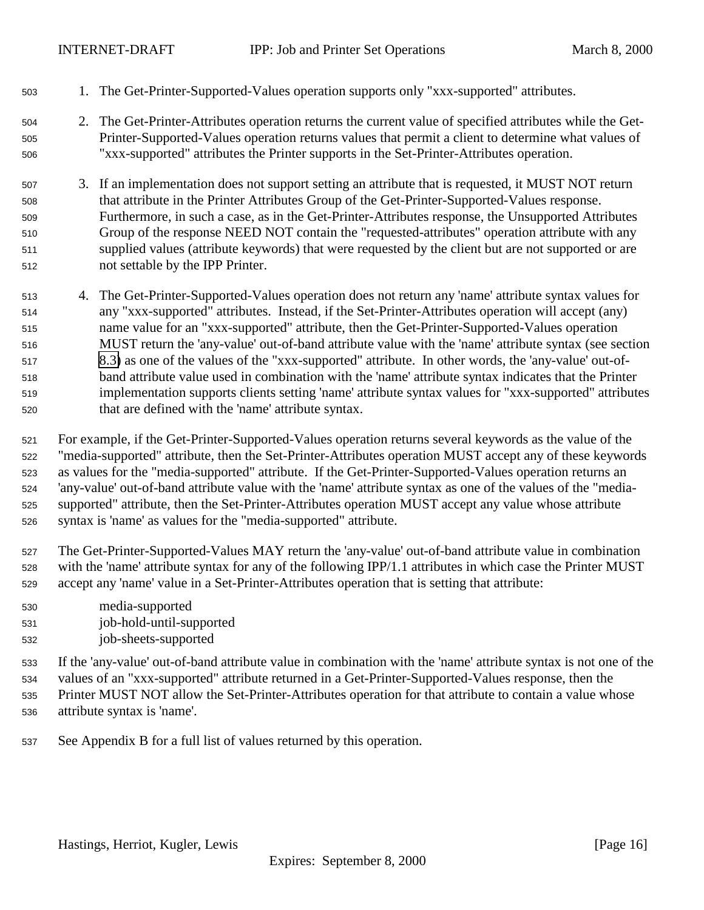- 1. The Get-Printer-Supported-Values operation supports only "xxx-supported" attributes.
- 2. The Get-Printer-Attributes operation returns the current value of specified attributes while the Get- Printer-Supported-Values operation returns values that permit a client to determine what values of "xxx-supported" attributes the Printer supports in the Set-Printer-Attributes operation.
- 3. If an implementation does not support setting an attribute that is requested, it MUST NOT return that attribute in the Printer Attributes Group of the Get-Printer-Supported-Values response. Furthermore, in such a case, as in the Get-Printer-Attributes response, the Unsupported Attributes Group of the response NEED NOT contain the "requested-attributes" operation attribute with any supplied values (attribute keywords) that were requested by the client but are not supported or are not settable by the IPP Printer.
- 4. The Get-Printer-Supported-Values operation does not return any 'name' attribute syntax values for any "xxx-supported" attributes. Instead, if the Set-Printer-Attributes operation will accept (any) name value for an "xxx-supported" attribute, then the Get-Printer-Supported-Values operation MUST return the 'any-value' out-of-band attribute value with the 'name' attribute syntax (see section [8.3\)](#page-22-0) as one of the values of the "xxx-supported" attribute. In other words, the 'any-value' out-of- band attribute value used in combination with the 'name' attribute syntax indicates that the Printer implementation supports clients setting 'name' attribute syntax values for "xxx-supported" attributes that are defined with the 'name' attribute syntax.
- For example, if the Get-Printer-Supported-Values operation returns several keywords as the value of the "media-supported" attribute, then the Set-Printer-Attributes operation MUST accept any of these keywords as values for the "media-supported" attribute. If the Get-Printer-Supported-Values operation returns an 'any-value' out-of-band attribute value with the 'name' attribute syntax as one of the values of the "media- supported" attribute, then the Set-Printer-Attributes operation MUST accept any value whose attribute syntax is 'name' as values for the "media-supported" attribute.
- The Get-Printer-Supported-Values MAY return the 'any-value' out-of-band attribute value in combination with the 'name' attribute syntax for any of the following IPP/1.1 attributes in which case the Printer MUST accept any 'name' value in a Set-Printer-Attributes operation that is setting that attribute:
- media-supported
- job-hold-until-supported
- job-sheets-supported
- If the 'any-value' out-of-band attribute value in combination with the 'name' attribute syntax is not one of the values of an "xxx-supported" attribute returned in a Get-Printer-Supported-Values response, then the Printer MUST NOT allow the Set-Printer-Attributes operation for that attribute to contain a value whose
- attribute syntax is 'name'.
- See Appendix B for a full list of values returned by this operation.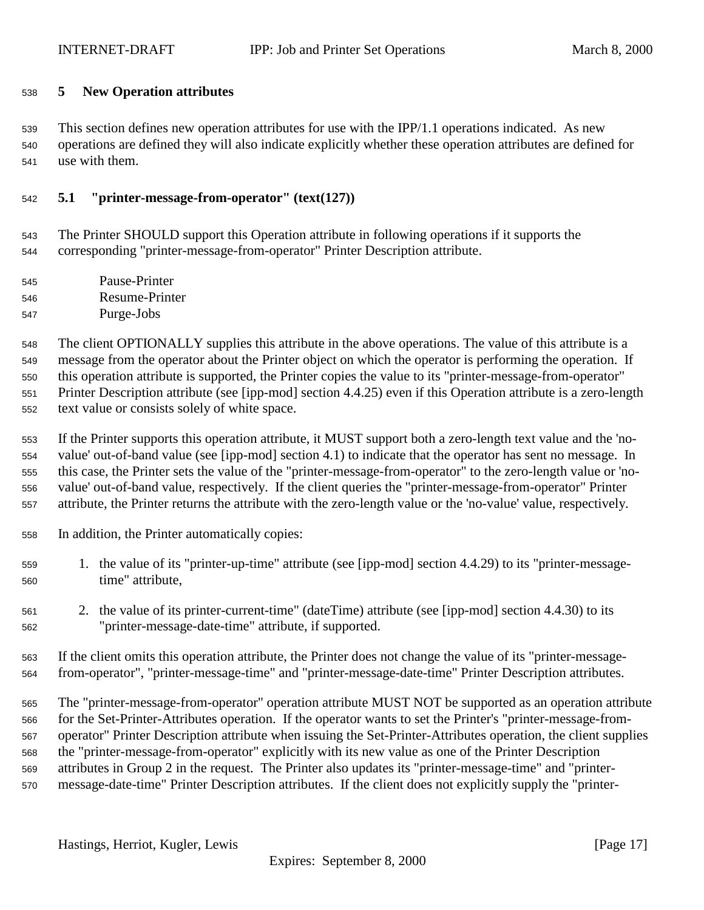# <span id="page-16-0"></span>**5 New Operation attributes**

 This section defines new operation attributes for use with the IPP/1.1 operations indicated. As new operations are defined they will also indicate explicitly whether these operation attributes are defined for use with them.

# **5.1 "printer-message-from-operator" (text(127))**

 The Printer SHOULD support this Operation attribute in following operations if it supports the corresponding "printer-message-from-operator" Printer Description attribute.

 Pause-Printer Resume-Printer Purge-Jobs

 The client OPTIONALLY supplies this attribute in the above operations. The value of this attribute is a message from the operator about the Printer object on which the operator is performing the operation. If this operation attribute is supported, the Printer copies the value to its "printer-message-from-operator" Printer Description attribute (see [ipp-mod] section 4.4.25) even if this Operation attribute is a zero-length text value or consists solely of white space.

 If the Printer supports this operation attribute, it MUST support both a zero-length text value and the 'no- value' out-of-band value (see [ipp-mod] section 4.1) to indicate that the operator has sent no message. In this case, the Printer sets the value of the "printer-message-from-operator" to the zero-length value or 'no- value' out-of-band value, respectively. If the client queries the "printer-message-from-operator" Printer attribute, the Printer returns the attribute with the zero-length value or the 'no-value' value, respectively.

- In addition, the Printer automatically copies:
- 1. the value of its "printer-up-time" attribute (see [ipp-mod] section 4.4.29) to its "printer-message-time" attribute,
- 2. the value of its printer-current-time" (dateTime) attribute (see [ipp-mod] section 4.4.30) to its "printer-message-date-time" attribute, if supported.
- If the client omits this operation attribute, the Printer does not change the value of its "printer-message-from-operator", "printer-message-time" and "printer-message-date-time" Printer Description attributes.

 The "printer-message-from-operator" operation attribute MUST NOT be supported as an operation attribute for the Set-Printer-Attributes operation. If the operator wants to set the Printer's "printer-message-from- operator" Printer Description attribute when issuing the Set-Printer-Attributes operation, the client supplies the "printer-message-from-operator" explicitly with its new value as one of the Printer Description attributes in Group 2 in the request. The Printer also updates its "printer-message-time" and "printer-message-date-time" Printer Description attributes. If the client does not explicitly supply the "printer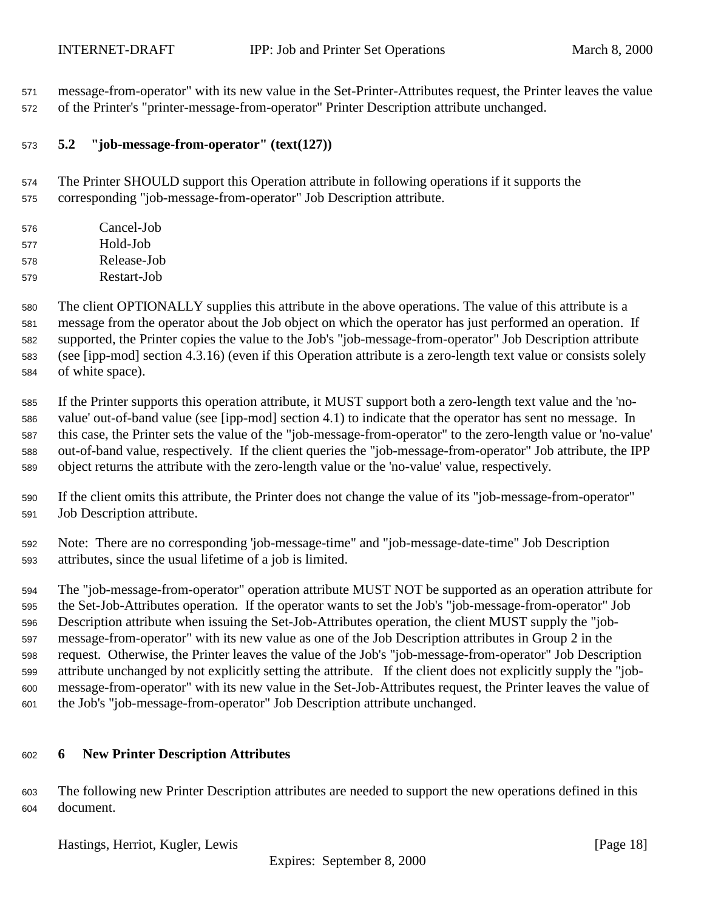<span id="page-17-0"></span> message-from-operator" with its new value in the Set-Printer-Attributes request, the Printer leaves the value of the Printer's "printer-message-from-operator" Printer Description attribute unchanged.

# **5.2 "job-message-from-operator" (text(127))**

 The Printer SHOULD support this Operation attribute in following operations if it supports the corresponding "job-message-from-operator" Job Description attribute.

| 576 | Cancel-Job  |
|-----|-------------|
| 577 | Hold-Job    |
| 578 | Release-Job |
| 579 | Restart-Job |

 The client OPTIONALLY supplies this attribute in the above operations. The value of this attribute is a message from the operator about the Job object on which the operator has just performed an operation. If supported, the Printer copies the value to the Job's "job-message-from-operator" Job Description attribute (see [ipp-mod] section 4.3.16) (even if this Operation attribute is a zero-length text value or consists solely of white space).

 If the Printer supports this operation attribute, it MUST support both a zero-length text value and the 'no- value' out-of-band value (see [ipp-mod] section 4.1) to indicate that the operator has sent no message. In this case, the Printer sets the value of the "job-message-from-operator" to the zero-length value or 'no-value' out-of-band value, respectively. If the client queries the "job-message-from-operator" Job attribute, the IPP object returns the attribute with the zero-length value or the 'no-value' value, respectively.

- If the client omits this attribute, the Printer does not change the value of its "job-message-from-operator" Job Description attribute.
- Note: There are no corresponding 'job-message-time" and "job-message-date-time" Job Description attributes, since the usual lifetime of a job is limited.

 The "job-message-from-operator" operation attribute MUST NOT be supported as an operation attribute for the Set-Job-Attributes operation. If the operator wants to set the Job's "job-message-from-operator" Job Description attribute when issuing the Set-Job-Attributes operation, the client MUST supply the "job- message-from-operator" with its new value as one of the Job Description attributes in Group 2 in the request. Otherwise, the Printer leaves the value of the Job's "job-message-from-operator" Job Description attribute unchanged by not explicitly setting the attribute. If the client does not explicitly supply the "job- message-from-operator" with its new value in the Set-Job-Attributes request, the Printer leaves the value of the Job's "job-message-from-operator" Job Description attribute unchanged.

# **6 New Printer Description Attributes**

 The following new Printer Description attributes are needed to support the new operations defined in this document.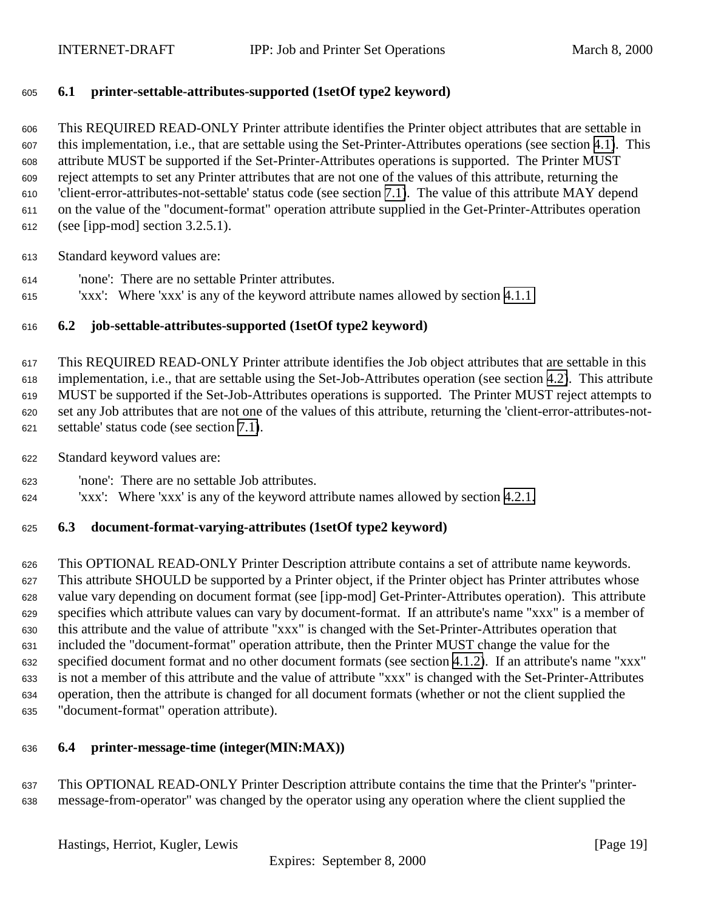# <span id="page-18-0"></span>**6.1 printer-settable-attributes-supported (1setOf type2 keyword)**

 This REQUIRED READ-ONLY Printer attribute identifies the Printer object attributes that are settable in this implementation, i.e., that are settable using the Set-Printer-Attributes operations (see section [4.1\)](#page-6-0). This attribute MUST be supported if the Set-Printer-Attributes operations is supported. The Printer MUST reject attempts to set any Printer attributes that are not one of the values of this attribute, returning the 'client-error-attributes-not-settable' status code (see section [7.1\)](#page-21-0). The value of this attribute MAY depend on the value of the "document-format" operation attribute supplied in the Get-Printer-Attributes operation (see [ipp-mod] section 3.2.5.1).

Standard keyword values are:

- 'none': There are no settable Printer attributes.
- 'xxx': Where 'xxx' is any of the keyword attribute names allowed by section [4.1.1](#page-7-0)

# **6.2 job-settable-attributes-supported (1setOf type2 keyword)**

 This REQUIRED READ-ONLY Printer attribute identifies the Job object attributes that are settable in this implementation, i.e., that are settable using the Set-Job-Attributes operation (see section [4.2\)](#page-10-0). This attribute MUST be supported if the Set-Job-Attributes operations is supported. The Printer MUST reject attempts to set any Job attributes that are not one of the values of this attribute, returning the 'client-error-attributes-not-settable' status code (see section [7.1\)](#page-21-0).

- Standard keyword values are:
- 'none': There are no settable Job attributes.
- 'xxx': Where 'xxx' is any of the keyword attribute names allowed by section [4.2.1.](#page-12-0)

#### **6.3 document-format-varying-attributes (1setOf type2 keyword)**

 This OPTIONAL READ-ONLY Printer Description attribute contains a set of attribute name keywords. This attribute SHOULD be supported by a Printer object, if the Printer object has Printer attributes whose value vary depending on document format (see [ipp-mod] Get-Printer-Attributes operation). This attribute specifies which attribute values can vary by document-format. If an attribute's name "xxx" is a member of this attribute and the value of attribute "xxx" is changed with the Set-Printer-Attributes operation that included the "document-format" operation attribute, then the Printer MUST change the value for the specified document format and no other document formats (see section [4.1.2\)](#page-8-0). If an attribute's name "xxx" is not a member of this attribute and the value of attribute "xxx" is changed with the Set-Printer-Attributes operation, then the attribute is changed for all document formats (whether or not the client supplied the "document-format" operation attribute).

#### **6.4 printer-message-time (integer(MIN:MAX))**

 This OPTIONAL READ-ONLY Printer Description attribute contains the time that the Printer's "printer-message-from-operator" was changed by the operator using any operation where the client supplied the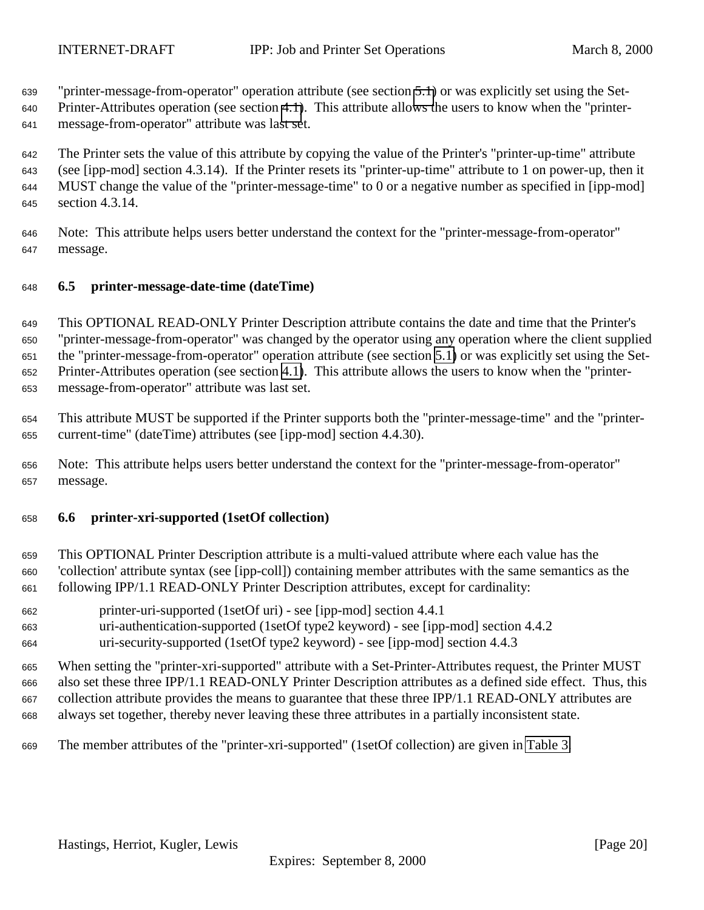<span id="page-19-0"></span>"printer-message-from-operator" operation attribute (see section [5.1\)](#page-16-0) or was explicitly set using the Set-

 Printer-Attributes operation (see section [4.1\)](#page-6-0). This attribute allows the users to know when the "printer-message-from-operator" attribute was last set.

 The Printer sets the value of this attribute by copying the value of the Printer's "printer-up-time" attribute (see [ipp-mod] section 4.3.14). If the Printer resets its "printer-up-time" attribute to 1 on power-up, then it MUST change the value of the "printer-message-time" to 0 or a negative number as specified in [ipp-mod] section 4.3.14.

 Note: This attribute helps users better understand the context for the "printer-message-from-operator" message.

# **6.5 printer-message-date-time (dateTime)**

 This OPTIONAL READ-ONLY Printer Description attribute contains the date and time that the Printer's "printer-message-from-operator" was changed by the operator using any operation where the client supplied the "printer-message-from-operator" operation attribute (see section [5.1\)](#page-16-0) or was explicitly set using the Set- Printer-Attributes operation (see section [4.1\)](#page-6-0). This attribute allows the users to know when the "printer-message-from-operator" attribute was last set.

 This attribute MUST be supported if the Printer supports both the "printer-message-time" and the "printer-current-time" (dateTime) attributes (see [ipp-mod] section 4.4.30).

 Note: This attribute helps users better understand the context for the "printer-message-from-operator" message.

#### **6.6 printer-xri-supported (1setOf collection)**

 This OPTIONAL Printer Description attribute is a multi-valued attribute where each value has the 'collection' attribute syntax (see [ipp-coll]) containing member attributes with the same semantics as the following IPP/1.1 READ-ONLY Printer Description attributes, except for cardinality:

- printer-uri-supported (1setOf uri) see [ipp-mod] section 4.4.1
- uri-authentication-supported (1setOf type2 keyword) see [ipp-mod] section 4.4.2
- uri-security-supported (1setOf type2 keyword) see [ipp-mod] section 4.4.3

 When setting the "printer-xri-supported" attribute with a Set-Printer-Attributes request, the Printer MUST also set these three IPP/1.1 READ-ONLY Printer Description attributes as a defined side effect. Thus, this collection attribute provides the means to guarantee that these three IPP/1.1 READ-ONLY attributes are always set together, thereby never leaving these three attributes in a partially inconsistent state.

The member attributes of the "printer-xri-supported" (1setOf collection) are given in [Table 3.](#page-20-0)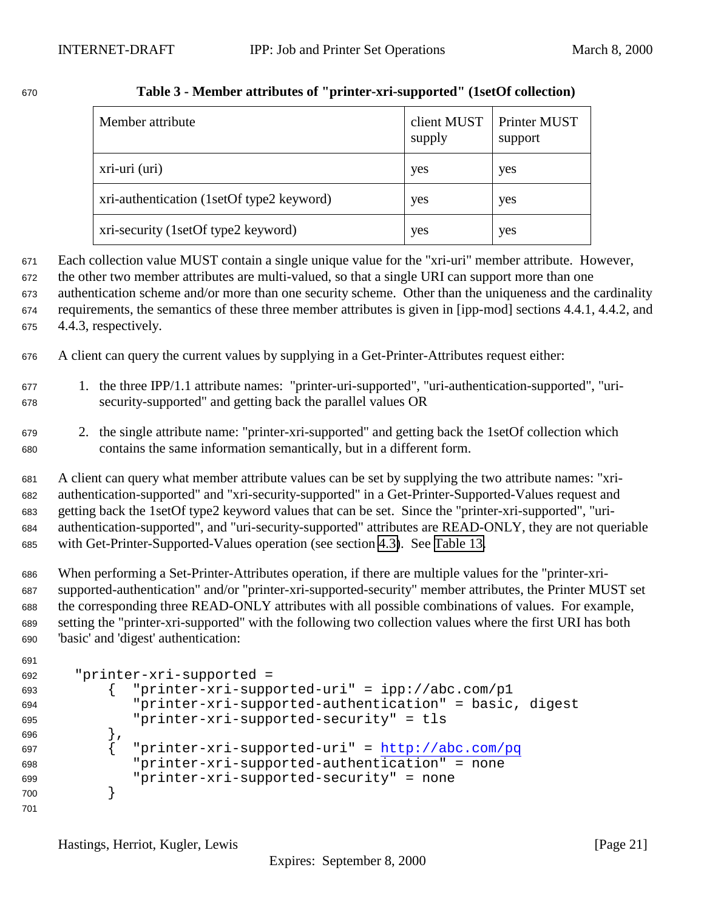| Member attribute                          | client MUST<br>supply | Printer MUST<br>support |
|-------------------------------------------|-----------------------|-------------------------|
| xri-uri (uri)                             | yes                   | yes                     |
| xri-authentication (1setOf type2 keyword) | yes                   | yes                     |
| xri-security (1setOf type2 keyword)       | yes                   | yes                     |

# <span id="page-20-0"></span>**Table 3 - Member attributes of "printer-xri-supported" (1setOf collection)**

- Each collection value MUST contain a single unique value for the "xri-uri" member attribute. However,
- the other two member attributes are multi-valued, so that a single URI can support more than one authentication scheme and/or more than one security scheme. Other than the uniqueness and the cardinality requirements, the semantics of these three member attributes is given in [ipp-mod] sections 4.4.1, 4.4.2, and
- 4.4.3, respectively.

A client can query the current values by supplying in a Get-Printer-Attributes request either:

- 1. the three IPP/1.1 attribute names: "printer-uri-supported", "uri-authentication-supported", "uri-security-supported" and getting back the parallel values OR
- 2. the single attribute name: "printer-xri-supported" and getting back the 1setOf collection which contains the same information semantically, but in a different form.

 A client can query what member attribute values can be set by supplying the two attribute names: "xri- authentication-supported" and "xri-security-supported" in a Get-Printer-Supported-Values request and getting back the 1setOf type2 keyword values that can be set. Since the "printer-xri-supported", "uri- authentication-supported", and "uri-security-supported" attributes are READ-ONLY, they are not queriable with Get-Printer-Supported-Values operation (see section [4.3\)](#page-14-0). See [Table 13.](#page-36-0)

 When performing a Set-Printer-Attributes operation, if there are multiple values for the "printer-xri- supported-authentication" and/or "printer-xri-supported-security" member attributes, the Printer MUST set the corresponding three READ-ONLY attributes with all possible combinations of values. For example, setting the "printer-xri-supported" with the following two collection values where the first URI has both 'basic' and 'digest' authentication:

```
691
```

```
692 "printer-xri-supported =
693 { "printer-xri-supported-uri" = ipp://abc.com/p1
694 "printer-xri-supported-authentication" = basic, digest
695 "printer-xri-supported-security" = tls
696 },
697 \int "printer-xri-supported-uri" = http://abc.com/pq
698 "printer-xri-supported-authentication" = none
699 "printer-xri-supported-security" = none
700 }
701
```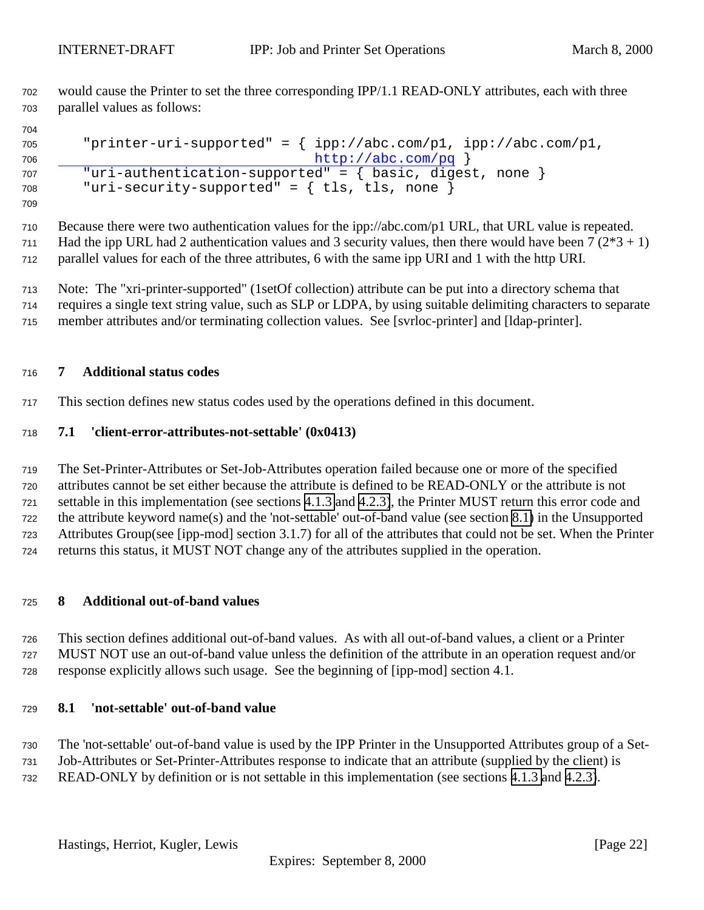<span id="page-21-0"></span> would cause the Printer to set the three corresponding IPP/1.1 READ-ONLY attributes, each with three parallel values as follows:

```
705 "printer-uri-supported" = { ipp://abc.com/p1, ipp://abc.com/p1,
706 http://abc.com/pq }
707 "uri-authentication-supported" = { basic, digest, none }
708 "uri-security-supported" = { tls, tls, none }
```
 Because there were two authentication values for the ipp://abc.com/p1 URL, that URL value is repeated. 711 Had the ipp URL had 2 authentication values and 3 security values, then there would have been  $7(2*3+1)$ parallel values for each of the three attributes, 6 with the same ipp URI and 1 with the http URI.

 Note: The "xri-printer-supported" (1setOf collection) attribute can be put into a directory schema that requires a single text string value, such as SLP or LDPA, by using suitable delimiting characters to separate member attributes and/or terminating collection values. See [svrloc-printer] and [ldap-printer].

#### **7 Additional status codes**

This section defines new status codes used by the operations defined in this document.

#### **7.1 'client-error-attributes-not-settable' (0x0413)**

 The Set-Printer-Attributes or Set-Job-Attributes operation failed because one or more of the specified attributes cannot be set either because the attribute is defined to be READ-ONLY or the attribute is not settable in this implementation (see sections [4.1.3](#page-9-0) and [4.2.3\)](#page-13-0), the Printer MUST return this error code and the attribute keyword name(s) and the 'not-settable' out-of-band value (see section 8.1) in the Unsupported Attributes Group(see [ipp-mod] section 3.1.7) for all of the attributes that could not be set. When the Printer returns this status, it MUST NOT change any of the attributes supplied in the operation.

#### **8 Additional out-of-band values**

 This section defines additional out-of-band values. As with all out-of-band values, a client or a Printer MUST NOT use an out-of-band value unless the definition of the attribute in an operation request and/or response explicitly allows such usage. See the beginning of [ipp-mod] section 4.1.

#### **8.1 'not-settable' out-of-band value**

 The 'not-settable' out-of-band value is used by the IPP Printer in the Unsupported Attributes group of a Set- Job-Attributes or Set-Printer-Attributes response to indicate that an attribute (supplied by the client) is READ-ONLY by definition or is not settable in this implementation (see sections [4.1.3](#page-9-0) and [4.2.3\)](#page-13-0).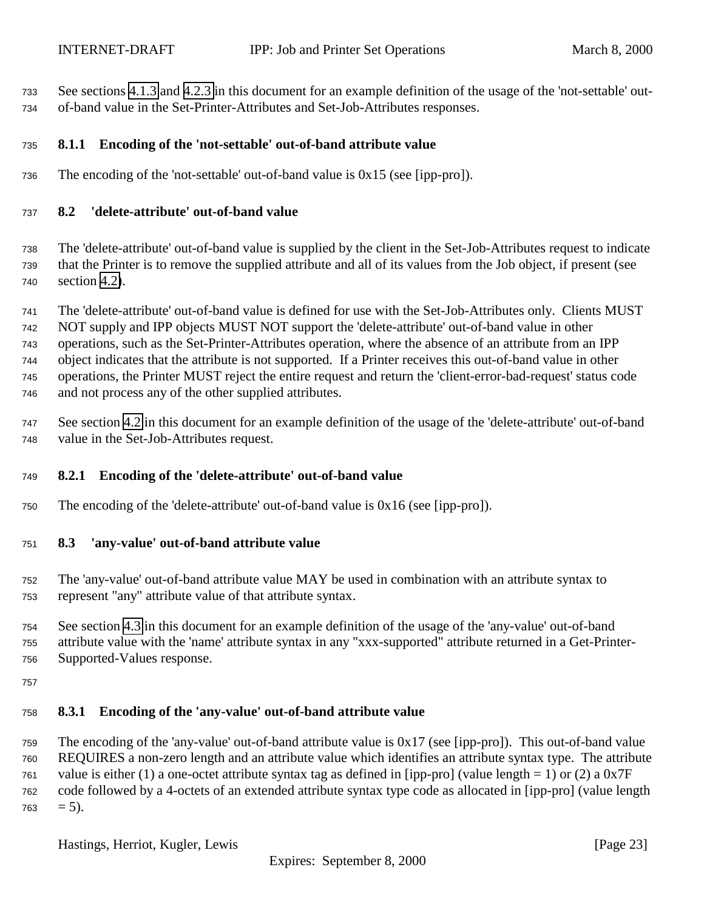<span id="page-22-0"></span> See sections [4.1.3](#page-9-0) and [4.2.3](#page-13-0) in this document for an example definition of the usage of the 'not-settable' out-of-band value in the Set-Printer-Attributes and Set-Job-Attributes responses.

# **8.1.1 Encoding of the 'not-settable' out-of-band attribute value**

The encoding of the 'not-settable' out-of-band value is 0x15 (see [ipp-pro]).

#### **8.2 'delete-attribute' out-of-band value**

 The 'delete-attribute' out-of-band value is supplied by the client in the Set-Job-Attributes request to indicate that the Printer is to remove the supplied attribute and all of its values from the Job object, if present (see section [4.2\)](#page-10-0).

 The 'delete-attribute' out-of-band value is defined for use with the Set-Job-Attributes only. Clients MUST NOT supply and IPP objects MUST NOT support the 'delete-attribute' out-of-band value in other operations, such as the Set-Printer-Attributes operation, where the absence of an attribute from an IPP object indicates that the attribute is not supported. If a Printer receives this out-of-band value in other operations, the Printer MUST reject the entire request and return the 'client-error-bad-request' status code and not process any of the other supplied attributes.

 See section [4.2](#page-10-0) in this document for an example definition of the usage of the 'delete-attribute' out-of-band value in the Set-Job-Attributes request.

#### **8.2.1 Encoding of the 'delete-attribute' out-of-band value**

The encoding of the 'delete-attribute' out-of-band value is 0x16 (see [ipp-pro]).

#### **8.3 'any-value' out-of-band attribute value**

 The 'any-value' out-of-band attribute value MAY be used in combination with an attribute syntax to represent "any" attribute value of that attribute syntax.

 See section [4.3](#page-14-0) in this document for an example definition of the usage of the 'any-value' out-of-band attribute value with the 'name' attribute syntax in any "xxx-supported" attribute returned in a Get-Printer-Supported-Values response.

#### **8.3.1 Encoding of the 'any-value' out-of-band attribute value**

 The encoding of the 'any-value' out-of-band attribute value is 0x17 (see [ipp-pro]). This out-of-band value REQUIRES a non-zero length and an attribute value which identifies an attribute syntax type. The attribute 761 value is either (1) a one-octet attribute syntax tag as defined in [ipp-pro] (value length = 1) or (2) a  $0x7F$  code followed by a 4-octets of an extended attribute syntax type code as allocated in [ipp-pro] (value length  $763 = 5$ ).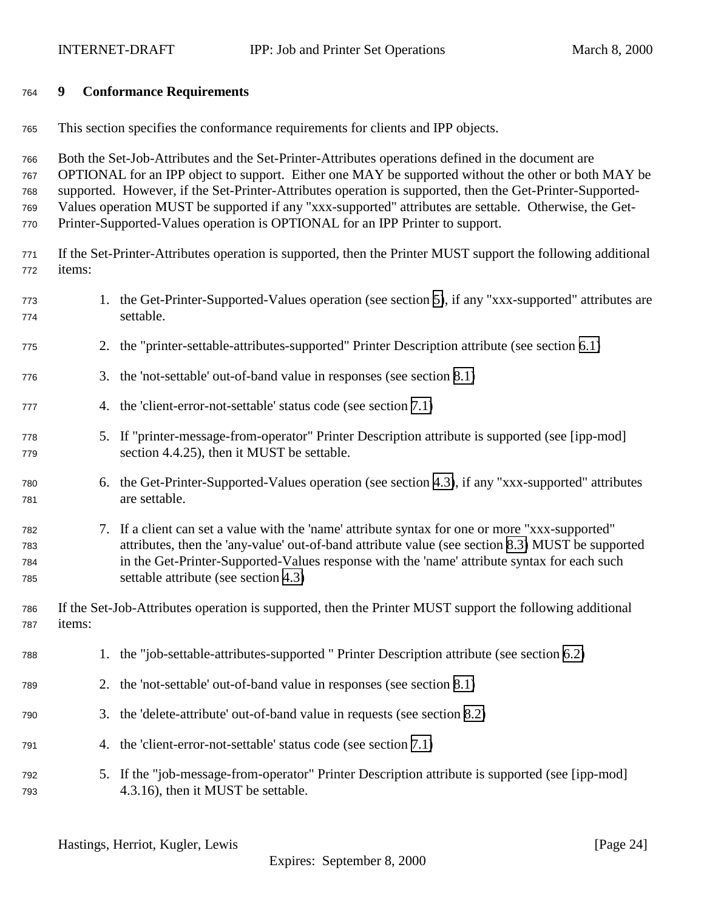#### <span id="page-23-0"></span>**9 Conformance Requirements**

This section specifies the conformance requirements for clients and IPP objects.

 Both the Set-Job-Attributes and the Set-Printer-Attributes operations defined in the document are OPTIONAL for an IPP object to support. Either one MAY be supported without the other or both MAY be supported. However, if the Set-Printer-Attributes operation is supported, then the Get-Printer-Supported-

Values operation MUST be supported if any "xxx-supported" attributes are settable. Otherwise, the Get-

- Printer-Supported-Values operation is OPTIONAL for an IPP Printer to support.
- If the Set-Printer-Attributes operation is supported, then the Printer MUST support the following additional items:
- 1. the Get-Printer-Supported-Values operation (see section [5\)](#page-14-0), if any "xxx-supported" attributes are settable.
- 2. the "printer-settable-attributes-supported" Printer Description attribute (see section [6.1\)](#page-18-0)
- 3. the 'not-settable' out-of-band value in responses (see section [8.1\)](#page-21-0)
- 4. the 'client-error-not-settable' status code (see section [7.1\)](#page-21-0)
- 5. If "printer-message-from-operator" Printer Description attribute is supported (see [ipp-mod] section 4.4.25), then it MUST be settable.
- 6. the Get-Printer-Supported-Values operation (see section [4.3\)](#page-14-0), if any "xxx-supported" attributes are settable.
- 7. If a client can set a value with the 'name' attribute syntax for one or more "xxx-supported" attributes, then the 'any-value' out-of-band attribute value (see section [8.3\)](#page-22-0) MUST be supported in the Get-Printer-Supported-Values response with the 'name' attribute syntax for each such settable attribute (see section [4.3\)](#page-14-0)

 If the Set-Job-Attributes operation is supported, then the Printer MUST support the following additional items:

- 1. the "job-settable-attributes-supported " Printer Description attribute (see section [6.2\)](#page-18-0)
- 2. the 'not-settable' out-of-band value in responses (see section [8.1\)](#page-21-0)
- 3. the 'delete-attribute' out-of-band value in requests (see section [8.2\)](#page-22-0)
- 4. the 'client-error-not-settable' status code (see section [7.1\)](#page-21-0)
- 5. If the "job-message-from-operator" Printer Description attribute is supported (see [ipp-mod] 4.3.16), then it MUST be settable.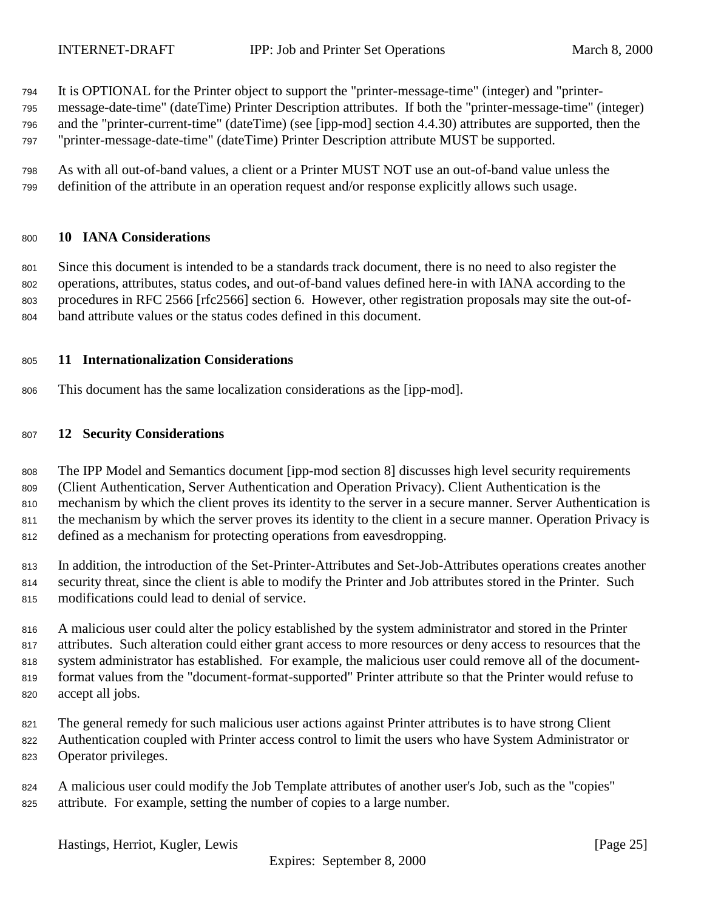<span id="page-24-0"></span>It is OPTIONAL for the Printer object to support the "printer-message-time" (integer) and "printer-

message-date-time" (dateTime) Printer Description attributes. If both the "printer-message-time" (integer)

and the "printer-current-time" (dateTime) (see [ipp-mod] section 4.4.30) attributes are supported, then the

"printer-message-date-time" (dateTime) Printer Description attribute MUST be supported.

 As with all out-of-band values, a client or a Printer MUST NOT use an out-of-band value unless the definition of the attribute in an operation request and/or response explicitly allows such usage.

#### **10 IANA Considerations**

 Since this document is intended to be a standards track document, there is no need to also register the operations, attributes, status codes, and out-of-band values defined here-in with IANA according to the procedures in RFC 2566 [rfc2566] section 6. However, other registration proposals may site the out-of-band attribute values or the status codes defined in this document.

# **11 Internationalization Considerations**

This document has the same localization considerations as the [ipp-mod].

# **12 Security Considerations**

 The IPP Model and Semantics document [ipp-mod section 8] discusses high level security requirements (Client Authentication, Server Authentication and Operation Privacy). Client Authentication is the mechanism by which the client proves its identity to the server in a secure manner. Server Authentication is 811 the mechanism by which the server proves its identity to the client in a secure manner. Operation Privacy is defined as a mechanism for protecting operations from eavesdropping.

 In addition, the introduction of the Set-Printer-Attributes and Set-Job-Attributes operations creates another security threat, since the client is able to modify the Printer and Job attributes stored in the Printer. Such modifications could lead to denial of service.

 A malicious user could alter the policy established by the system administrator and stored in the Printer attributes. Such alteration could either grant access to more resources or deny access to resources that the system administrator has established. For example, the malicious user could remove all of the document- format values from the "document-format-supported" Printer attribute so that the Printer would refuse to accept all jobs.

The general remedy for such malicious user actions against Printer attributes is to have strong Client

Authentication coupled with Printer access control to limit the users who have System Administrator or

Operator privileges.

 A malicious user could modify the Job Template attributes of another user's Job, such as the "copies" attribute. For example, setting the number of copies to a large number.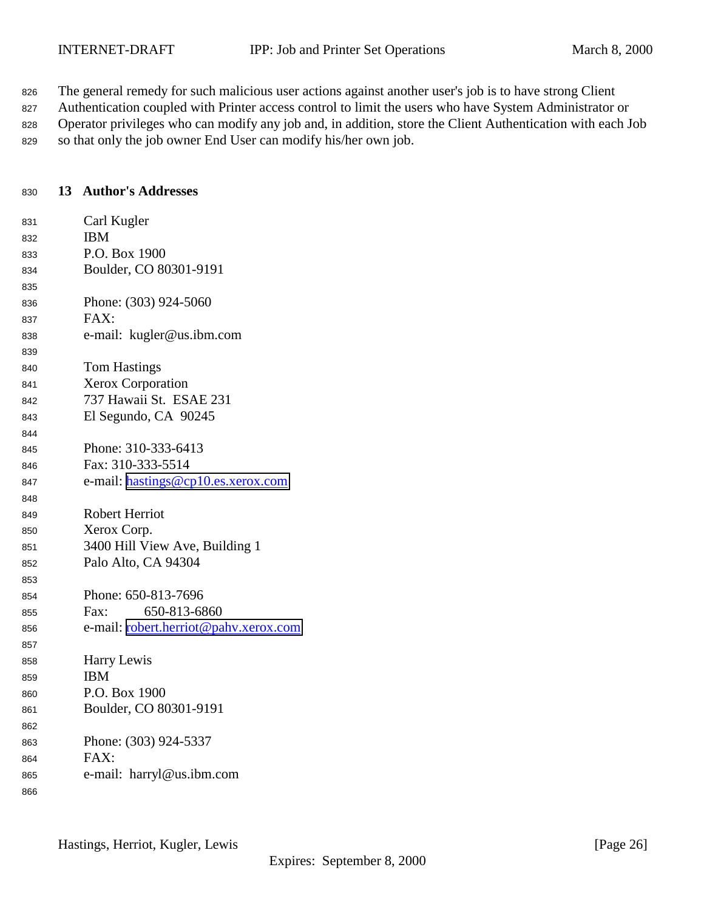<span id="page-25-0"></span>826 The general remedy for such malicious user actions against another user's job is to have strong Client

827 Authentication coupled with Printer access control to limit the users who have System Administrator or 828 Operator privileges who can modify any job and, in addition, store the Client Authentication with each Job so that only the job owner End User can modify his/her own job.

#### **13 Author's Addresses**

| 831 | Carl Kugler                                  |
|-----|----------------------------------------------|
| 832 | <b>IBM</b>                                   |
| 833 | P.O. Box 1900                                |
| 834 | Boulder, CO 80301-9191                       |
| 835 |                                              |
| 836 | Phone: (303) 924-5060                        |
| 837 | FAX:                                         |
| 838 | e-mail: kugler@us.ibm.com                    |
| 839 |                                              |
| 840 | <b>Tom Hastings</b>                          |
| 841 | <b>Xerox Corporation</b>                     |
| 842 | 737 Hawaii St. ESAE 231                      |
| 843 | El Segundo, CA 90245                         |
| 844 |                                              |
| 845 | Phone: 310-333-6413                          |
| 846 | Fax: 310-333-5514                            |
| 847 | e-mail: hastings@cp10.es.xerox.com           |
| 848 |                                              |
| 849 | <b>Robert Herriot</b>                        |
| 850 | Xerox Corp.                                  |
| 851 | 3400 Hill View Ave, Building 1               |
| 852 | Palo Alto, CA 94304                          |
| 853 |                                              |
| 854 | Phone: 650-813-7696                          |
| 855 | 650-813-6860<br>Fax:                         |
| 856 | e-mail: <u>robert.herriot@pahv.xerox.com</u> |
| 857 |                                              |
| 858 | Harry Lewis                                  |
| 859 | <b>IBM</b>                                   |
| 860 | P.O. Box 1900                                |
| 861 | Boulder, CO 80301-9191                       |
| 862 |                                              |
| 863 | Phone: (303) 924-5337                        |
| 864 | FAX:                                         |
| 865 | e-mail: harryl@us.ibm.com                    |
| 866 |                                              |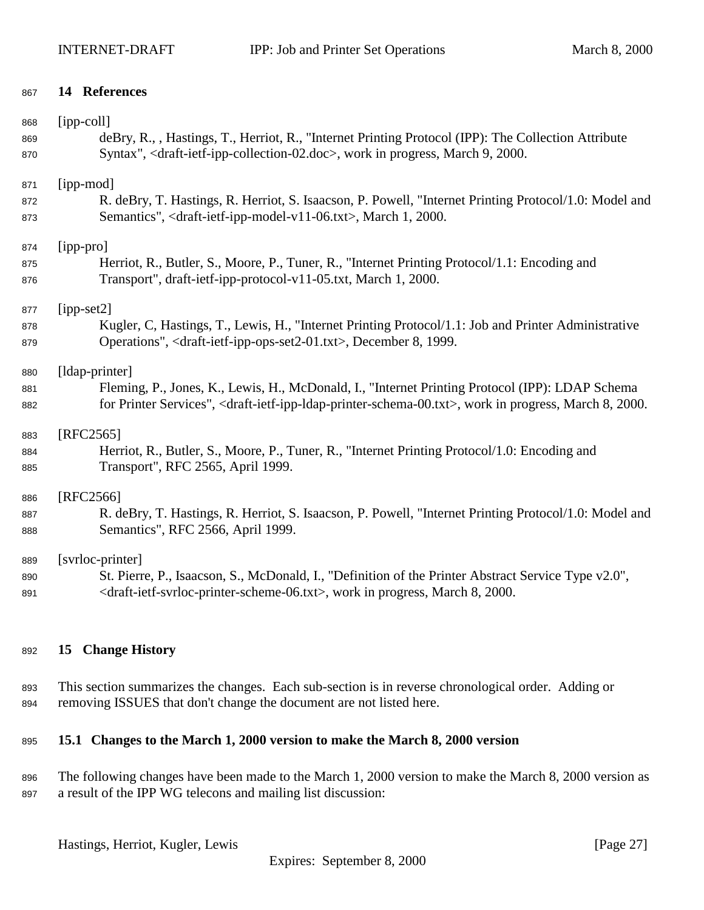#### <span id="page-26-0"></span>**14 References**

| 868 | [ipp-coll]                                                                                                                                       |
|-----|--------------------------------------------------------------------------------------------------------------------------------------------------|
| 869 | deBry, R., , Hastings, T., Herriot, R., "Internet Printing Protocol (IPP): The Collection Attribute                                              |
| 870 | Syntax", <draft-ietf-ipp-collection-02.doc>, work in progress, March 9, 2000.</draft-ietf-ipp-collection-02.doc>                                 |
| 871 | [ipp-mod]                                                                                                                                        |
| 872 | R. deBry, T. Hastings, R. Herriot, S. Isaacson, P. Powell, "Internet Printing Protocol/1.0: Model and                                            |
| 873 | Semantics", <draft-ietf-ipp-model-v11-06.txt>, March 1, 2000.</draft-ietf-ipp-model-v11-06.txt>                                                  |
| 874 | [ipp-pro]                                                                                                                                        |
| 875 | Herriot, R., Butler, S., Moore, P., Tuner, R., "Internet Printing Protocol/1.1: Encoding and                                                     |
| 876 | Transport", draft-ietf-ipp-protocol-v11-05.txt, March 1, 2000.                                                                                   |
| 877 | $[ipp-set2]$                                                                                                                                     |
| 878 | Kugler, C, Hastings, T., Lewis, H., "Internet Printing Protocol/1.1: Job and Printer Administrative                                              |
| 879 | Operations", <draft-ietf-ipp-ops-set2-01.txt>, December 8, 1999.</draft-ietf-ipp-ops-set2-01.txt>                                                |
| 880 | [ldap-printer]                                                                                                                                   |
| 881 | Fleming, P., Jones, K., Lewis, H., McDonald, I., "Internet Printing Protocol (IPP): LDAP Schema                                                  |
| 882 | for Printer Services", <draft-ietf-ipp-ldap-printer-schema-00.txt>, work in progress, March 8, 2000.</draft-ietf-ipp-ldap-printer-schema-00.txt> |
| 883 | [RFC2565]                                                                                                                                        |
| 884 | Herriot, R., Butler, S., Moore, P., Tuner, R., "Internet Printing Protocol/1.0: Encoding and                                                     |
| 885 | Transport", RFC 2565, April 1999.                                                                                                                |
| 886 | [RFC2566]                                                                                                                                        |
| 887 | R. deBry, T. Hastings, R. Herriot, S. Isaacson, P. Powell, "Internet Printing Protocol/1.0: Model and                                            |
| 888 | Semantics", RFC 2566, April 1999.                                                                                                                |
| 889 | [svrloc-printer]                                                                                                                                 |
| 890 | St. Pierre, P., Isaacson, S., McDonald, I., "Definition of the Printer Abstract Service Type v2.0",                                              |
| 891 | <draft-ietf-svrloc-printer-scheme-06.txt>, work in progress, March 8, 2000.</draft-ietf-svrloc-printer-scheme-06.txt>                            |

#### **15 Change History**

 This section summarizes the changes. Each sub-section is in reverse chronological order. Adding or removing ISSUES that don't change the document are not listed here.

# **15.1 Changes to the March 1, 2000 version to make the March 8, 2000 version**

896 The following changes have been made to the March 1, 2000 version to make the March 8, 2000 version as a result of the IPP WG telecons and mailing list discussion:

Hastings, Herriot, Kugler, Lewis [Page 27]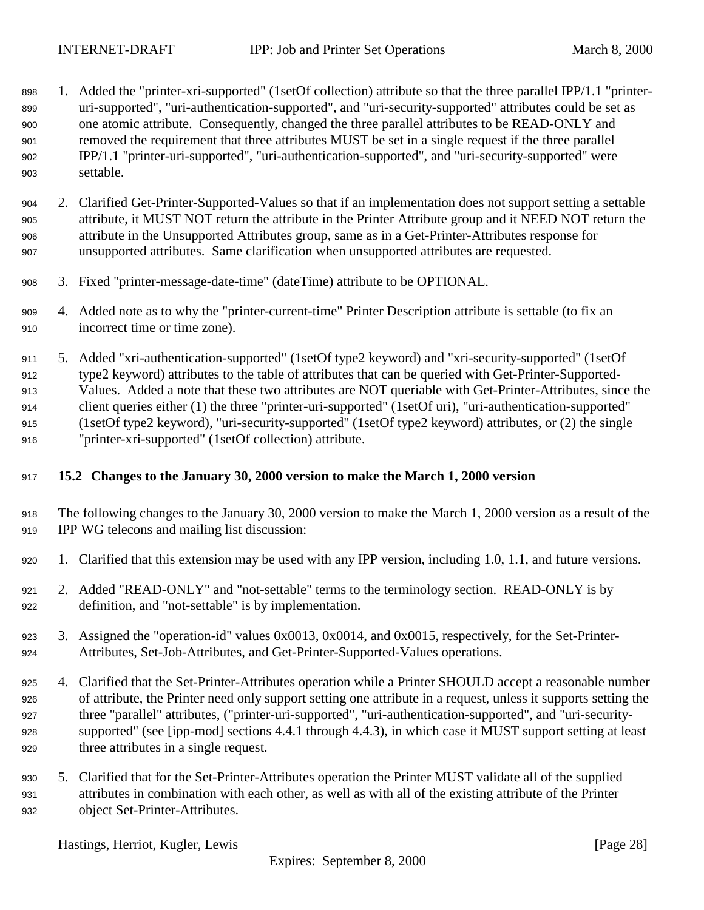- <span id="page-27-0"></span>898 1. Added the "printer-xri-supported" (1setOf collection) attribute so that the three parallel IPP/1.1 "printer- uri-supported", "uri-authentication-supported", and "uri-security-supported" attributes could be set as one atomic attribute. Consequently, changed the three parallel attributes to be READ-ONLY and removed the requirement that three attributes MUST be set in a single request if the three parallel IPP/1.1 "printer-uri-supported", "uri-authentication-supported", and "uri-security-supported" were settable.
- 2. Clarified Get-Printer-Supported-Values so that if an implementation does not support setting a settable attribute, it MUST NOT return the attribute in the Printer Attribute group and it NEED NOT return the attribute in the Unsupported Attributes group, same as in a Get-Printer-Attributes response for unsupported attributes. Same clarification when unsupported attributes are requested.
- 3. Fixed "printer-message-date-time" (dateTime) attribute to be OPTIONAL.
- 4. Added note as to why the "printer-current-time" Printer Description attribute is settable (to fix an incorrect time or time zone).
- 5. Added "xri-authentication-supported" (1setOf type2 keyword) and "xri-security-supported" (1setOf type2 keyword) attributes to the table of attributes that can be queried with Get-Printer-Supported- Values. Added a note that these two attributes are NOT queriable with Get-Printer-Attributes, since the client queries either (1) the three "printer-uri-supported" (1setOf uri), "uri-authentication-supported" (1setOf type2 keyword), "uri-security-supported" (1setOf type2 keyword) attributes, or (2) the single "printer-xri-supported" (1setOf collection) attribute.

# **15.2 Changes to the January 30, 2000 version to make the March 1, 2000 version**

- The following changes to the January 30, 2000 version to make the March 1, 2000 version as a result of the IPP WG telecons and mailing list discussion:
- 1. Clarified that this extension may be used with any IPP version, including 1.0, 1.1, and future versions.
- 2. Added "READ-ONLY" and "not-settable" terms to the terminology section. READ-ONLY is by definition, and "not-settable" is by implementation.
- 3. Assigned the "operation-id" values 0x0013, 0x0014, and 0x0015, respectively, for the Set-Printer-Attributes, Set-Job-Attributes, and Get-Printer-Supported-Values operations.
- 4. Clarified that the Set-Printer-Attributes operation while a Printer SHOULD accept a reasonable number of attribute, the Printer need only support setting one attribute in a request, unless it supports setting the three "parallel" attributes, ("printer-uri-supported", "uri-authentication-supported", and "uri-security- supported" (see [ipp-mod] sections 4.4.1 through 4.4.3), in which case it MUST support setting at least three attributes in a single request.
- 5. Clarified that for the Set-Printer-Attributes operation the Printer MUST validate all of the supplied attributes in combination with each other, as well as with all of the existing attribute of the Printer object Set-Printer-Attributes.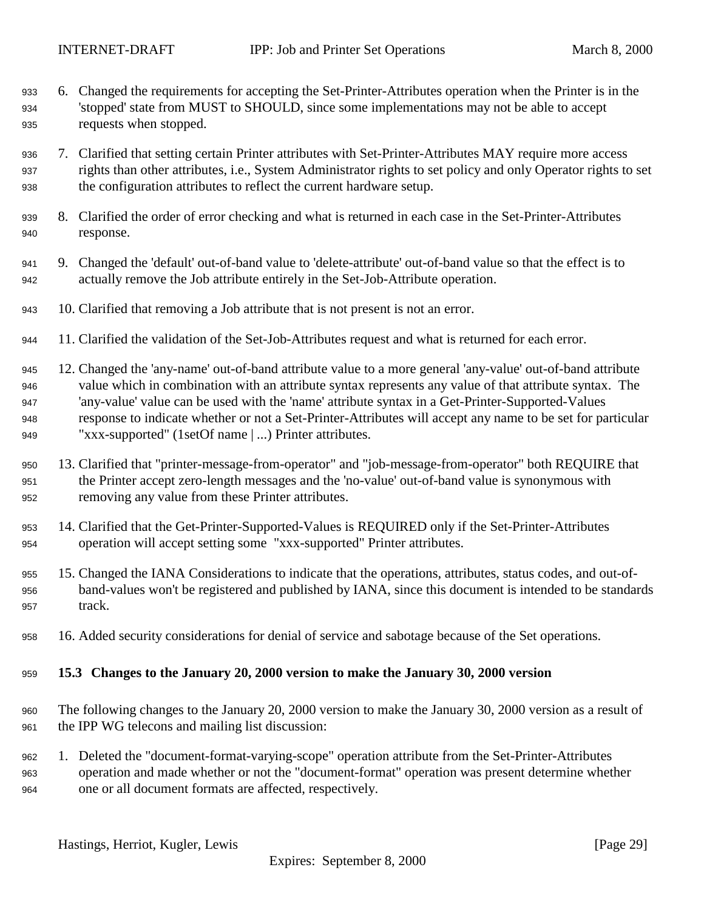- <span id="page-28-0"></span> 6. Changed the requirements for accepting the Set-Printer-Attributes operation when the Printer is in the 'stopped' state from MUST to SHOULD, since some implementations may not be able to accept requests when stopped.
- 7. Clarified that setting certain Printer attributes with Set-Printer-Attributes MAY require more access rights than other attributes, i.e., System Administrator rights to set policy and only Operator rights to set the configuration attributes to reflect the current hardware setup.
- 8. Clarified the order of error checking and what is returned in each case in the Set-Printer-Attributes response.
- 9. Changed the 'default' out-of-band value to 'delete-attribute' out-of-band value so that the effect is to actually remove the Job attribute entirely in the Set-Job-Attribute operation.
- 10. Clarified that removing a Job attribute that is not present is not an error.
- 11. Clarified the validation of the Set-Job-Attributes request and what is returned for each error.
- 12. Changed the 'any-name' out-of-band attribute value to a more general 'any-value' out-of-band attribute value which in combination with an attribute syntax represents any value of that attribute syntax. The 'any-value' value can be used with the 'name' attribute syntax in a Get-Printer-Supported-Values response to indicate whether or not a Set-Printer-Attributes will accept any name to be set for particular "xxx-supported" (1setOf name | ...) Printer attributes.
- 13. Clarified that "printer-message-from-operator" and "job-message-from-operator" both REQUIRE that the Printer accept zero-length messages and the 'no-value' out-of-band value is synonymous with removing any value from these Printer attributes.
- 14. Clarified that the Get-Printer-Supported-Values is REQUIRED only if the Set-Printer-Attributes operation will accept setting some "xxx-supported" Printer attributes.
- 15. Changed the IANA Considerations to indicate that the operations, attributes, status codes, and out-of- band-values won't be registered and published by IANA, since this document is intended to be standards 957 track.
- 16. Added security considerations for denial of service and sabotage because of the Set operations.

#### **15.3 Changes to the January 20, 2000 version to make the January 30, 2000 version**

- The following changes to the January 20, 2000 version to make the January 30, 2000 version as a result of the IPP WG telecons and mailing list discussion:
- 1. Deleted the "document-format-varying-scope" operation attribute from the Set-Printer-Attributes operation and made whether or not the "document-format" operation was present determine whether one or all document formats are affected, respectively.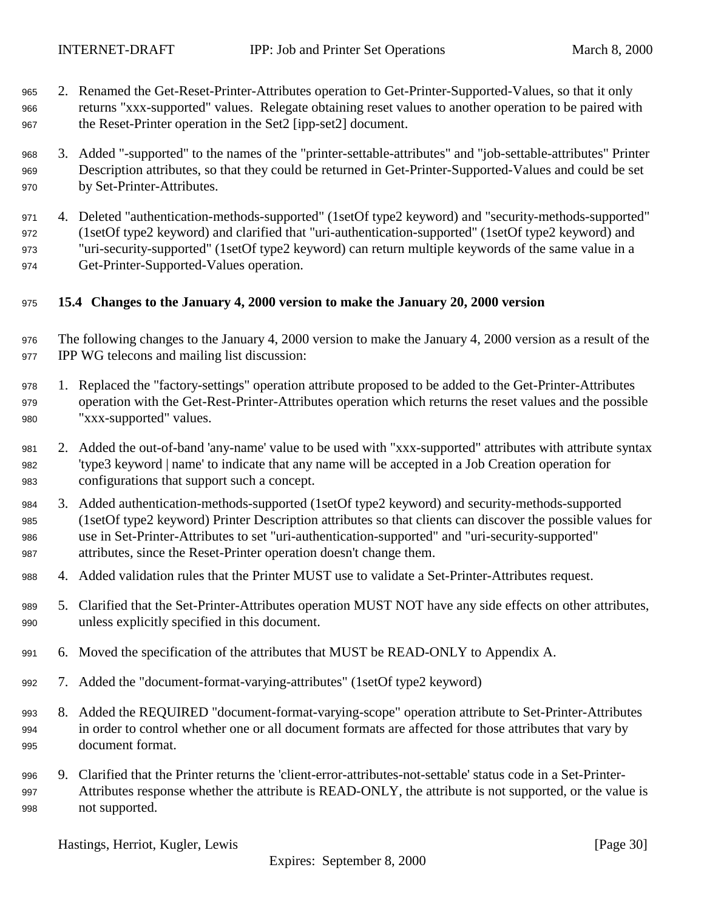- <span id="page-29-0"></span> 2. Renamed the Get-Reset-Printer-Attributes operation to Get-Printer-Supported-Values, so that it only returns "xxx-supported" values. Relegate obtaining reset values to another operation to be paired with the Reset-Printer operation in the Set2 [ipp-set2] document.
- 3. Added "-supported" to the names of the "printer-settable-attributes" and "job-settable-attributes" Printer Description attributes, so that they could be returned in Get-Printer-Supported-Values and could be set by Set-Printer-Attributes.
- 4. Deleted "authentication-methods-supported" (1setOf type2 keyword) and "security-methods-supported" (1setOf type2 keyword) and clarified that "uri-authentication-supported" (1setOf type2 keyword) and "uri-security-supported" (1setOf type2 keyword) can return multiple keywords of the same value in a Get-Printer-Supported-Values operation.
- **15.4 Changes to the January 4, 2000 version to make the January 20, 2000 version**
- The following changes to the January 4, 2000 version to make the January 4, 2000 version as a result of the IPP WG telecons and mailing list discussion:
- 1. Replaced the "factory-settings" operation attribute proposed to be added to the Get-Printer-Attributes operation with the Get-Rest-Printer-Attributes operation which returns the reset values and the possible "xxx-supported" values.
- 2. Added the out-of-band 'any-name' value to be used with "xxx-supported" attributes with attribute syntax 'type3 keyword | name' to indicate that any name will be accepted in a Job Creation operation for configurations that support such a concept.
- 3. Added authentication-methods-supported (1setOf type2 keyword) and security-methods-supported (1setOf type2 keyword) Printer Description attributes so that clients can discover the possible values for use in Set-Printer-Attributes to set "uri-authentication-supported" and "uri-security-supported" attributes, since the Reset-Printer operation doesn't change them.
- 4. Added validation rules that the Printer MUST use to validate a Set-Printer-Attributes request.
- 5. Clarified that the Set-Printer-Attributes operation MUST NOT have any side effects on other attributes, unless explicitly specified in this document.
- 6. Moved the specification of the attributes that MUST be READ-ONLY to Appendix A.
- 7. Added the "document-format-varying-attributes" (1setOf type2 keyword)
- 8. Added the REQUIRED "document-format-varying-scope" operation attribute to Set-Printer-Attributes in order to control whether one or all document formats are affected for those attributes that vary by document format.
- 9. Clarified that the Printer returns the 'client-error-attributes-not-settable' status code in a Set-Printer- Attributes response whether the attribute is READ-ONLY, the attribute is not supported, or the value is not supported.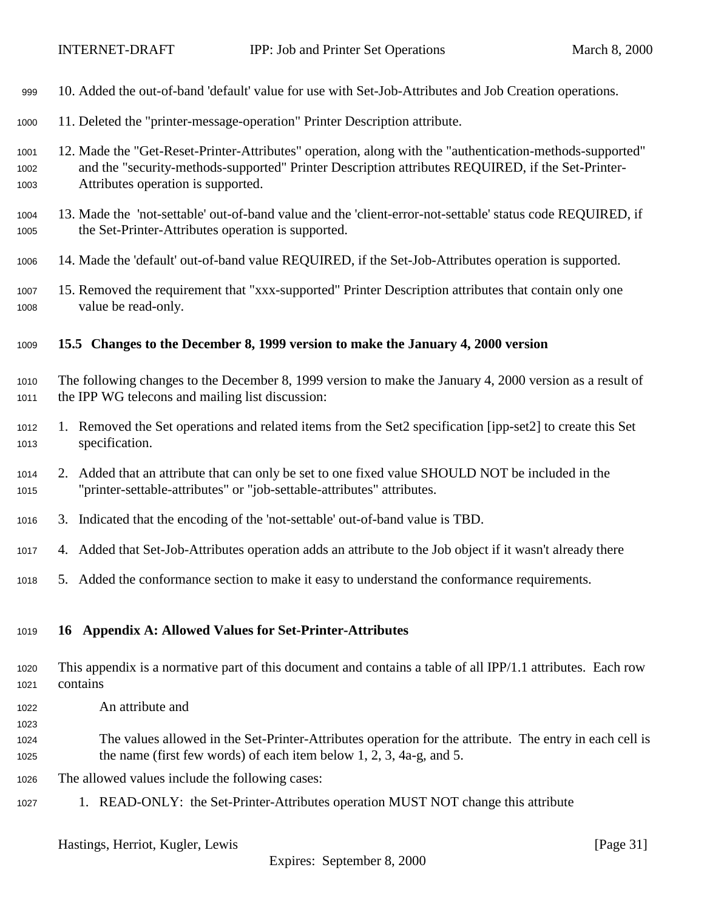<span id="page-30-0"></span>

| 999                  | 10. Added the out-of-band 'default' value for use with Set-Job-Attributes and Job Creation operations.                                                                                                                                              |
|----------------------|-----------------------------------------------------------------------------------------------------------------------------------------------------------------------------------------------------------------------------------------------------|
| 1000                 | 11. Deleted the "printer-message-operation" Printer Description attribute.                                                                                                                                                                          |
| 1001<br>1002<br>1003 | 12. Made the "Get-Reset-Printer-Attributes" operation, along with the "authentication-methods-supported"<br>and the "security-methods-supported" Printer Description attributes REQUIRED, if the Set-Printer-<br>Attributes operation is supported. |
| 1004<br>1005         | 13. Made the 'not-settable' out-of-band value and the 'client-error-not-settable' status code REQUIRED, if<br>the Set-Printer-Attributes operation is supported.                                                                                    |
| 1006                 | 14. Made the 'default' out-of-band value REQUIRED, if the Set-Job-Attributes operation is supported.                                                                                                                                                |
| 1007<br>1008         | 15. Removed the requirement that "xxx-supported" Printer Description attributes that contain only one<br>value be read-only.                                                                                                                        |
| 1009                 | 15.5 Changes to the December 8, 1999 version to make the January 4, 2000 version                                                                                                                                                                    |
| 1010<br>1011         | The following changes to the December 8, 1999 version to make the January 4, 2000 version as a result of<br>the IPP WG telecons and mailing list discussion:                                                                                        |
| 1012<br>1013         | 1. Removed the Set operations and related items from the Set2 specification [ipp-set2] to create this Set<br>specification.                                                                                                                         |
| 1014<br>1015         | 2. Added that an attribute that can only be set to one fixed value SHOULD NOT be included in the<br>"printer-settable-attributes" or "job-settable-attributes" attributes.                                                                          |
| 1016                 | 3. Indicated that the encoding of the 'not-settable' out-of-band value is TBD.                                                                                                                                                                      |
| 1017                 | 4. Added that Set-Job-Attributes operation adds an attribute to the Job object if it wasn't already there                                                                                                                                           |
| 1018                 | 5. Added the conformance section to make it easy to understand the conformance requirements.                                                                                                                                                        |
| 1019                 | <b>Appendix A: Allowed Values for Set-Printer-Attributes</b><br>16                                                                                                                                                                                  |
| 1020<br>1021         | This appendix is a normative part of this document and contains a table of all IPP/1.1 attributes. Each row<br>contains                                                                                                                             |
| 1022<br>1023         | An attribute and                                                                                                                                                                                                                                    |
| 1024<br>1025         | The values allowed in the Set-Printer-Attributes operation for the attribute. The entry in each cell is<br>the name (first few words) of each item below $1, 2, 3, 4a-g$ , and 5.                                                                   |
| 1026                 | The allowed values include the following cases:                                                                                                                                                                                                     |
| 1027                 | 1. READ-ONLY: the Set-Printer-Attributes operation MUST NOT change this attribute                                                                                                                                                                   |
|                      | Hastings, Herriot, Kugler, Lewis<br>[Page $31$ ]                                                                                                                                                                                                    |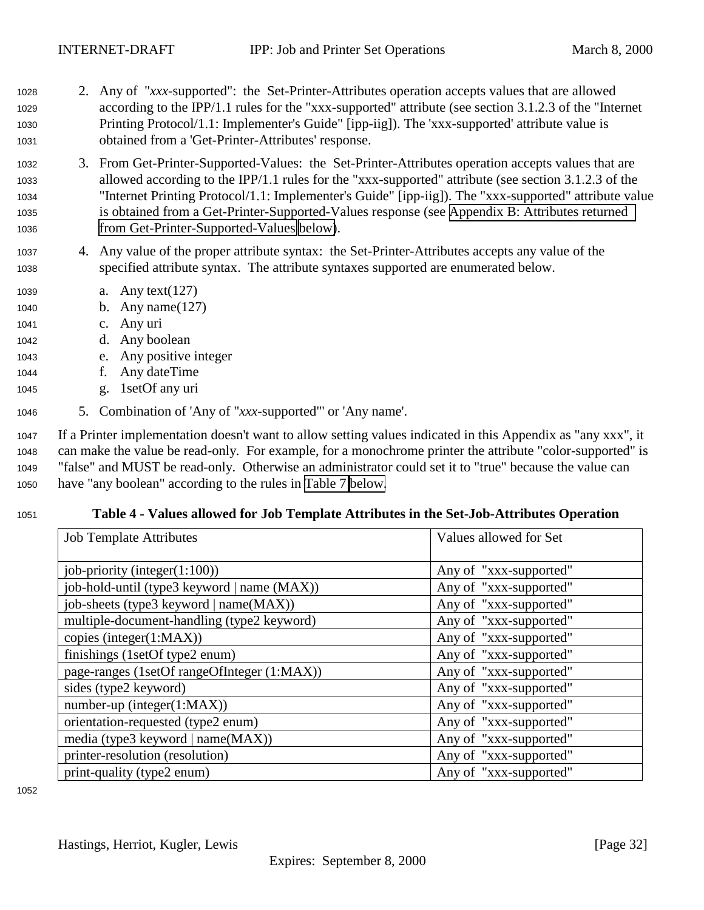- <span id="page-31-0"></span><sup>1028</sup> 2. Any of "*xxx*-supported": the Set-Printer-Attributes operation accepts values that are allowed <sup>1029</sup> according to the IPP/1.1 rules for the "xxx-supported" attribute (see section 3.1.2.3 of the "Internet <sup>1030</sup> Printing Protocol/1.1: Implementer's Guide" [ipp-iig]). The 'xxx-supported' attribute value is <sup>1031</sup> obtained from a 'Get-Printer-Attributes' response.
- <sup>1032</sup> 3. From Get-Printer-Supported-Values: the Set-Printer-Attributes operation accepts values that are <sup>1033</sup> allowed according to the IPP/1.1 rules for the "xxx-supported" attribute (see section 3.1.2.3 of the <sup>1034</sup> "Internet Printing Protocol/1.1: Implementer's Guide" [ipp-iig]). The "xxx-supported" attribute value <sup>1035</sup> is obtained from a Get-Printer-Supported-Values response (see [Appendix B: Attributes returned](#page-34-0) <sup>1036</sup> [from Get-Printer-Supported-Values below\)](#page-34-0).
- <sup>1037</sup> 4. Any value of the proper attribute syntax: the Set-Printer-Attributes accepts any value of the <sup>1038</sup> specified attribute syntax. The attribute syntaxes supported are enumerated below.
- <sup>1039</sup> a. Any text(127)
- <sup>1040</sup> b. Any name(127)
- <sup>1041</sup> c. Any uri
- <sup>1042</sup> d. Any boolean
- <sup>1043</sup> e. Any positive integer
- <sup>1044</sup> f. Any dateTime
- <sup>1045</sup> g. 1setOf any uri
- <sup>1046</sup> 5. Combination of 'Any of "*xxx*-supported"' or 'Any name'.

 If a Printer implementation doesn't want to allow setting values indicated in this Appendix as "any xxx", it can make the value be read-only. For example, for a monochrome printer the attribute "color-supported" is "false" and MUST be read-only. Otherwise an administrator could set it to "true" because the value can have "any boolean" according to the rules in [Table 7 below.](#page-33-0)

# <sup>1051</sup> **Table 4 - Values allowed for Job Template Attributes in the Set-Job-Attributes Operation**

| <b>Job Template Attributes</b>              | Values allowed for Set |
|---------------------------------------------|------------------------|
| job-priority (integer $(1:100)$ )           | Any of "xxx-supported" |
| job-hold-until (type3 keyword   name (MAX)) | Any of "xxx-supported" |
| job-sheets (type3 keyword   name(MAX))      | Any of "xxx-supported" |
| multiple-document-handling (type2 keyword)  | Any of "xxx-supported" |
| copies (integer(1:MAX))                     | Any of "xxx-supported" |
| finishings (1setOf type2 enum)              | Any of "xxx-supported" |
| page-ranges (1setOf rangeOfInteger (1:MAX)) | Any of "xxx-supported" |
| sides (type2 keyword)                       | Any of "xxx-supported" |
| $number-up (integer(1:MAX))$                | Any of "xxx-supported" |
| orientation-requested (type2 enum)          | Any of "xxx-supported" |
| media (type3 keyword   name(MAX))           | Any of "xxx-supported" |
| printer-resolution (resolution)             | Any of "xxx-supported" |
| print-quality (type2 enum)                  | Any of "xxx-supported" |

1052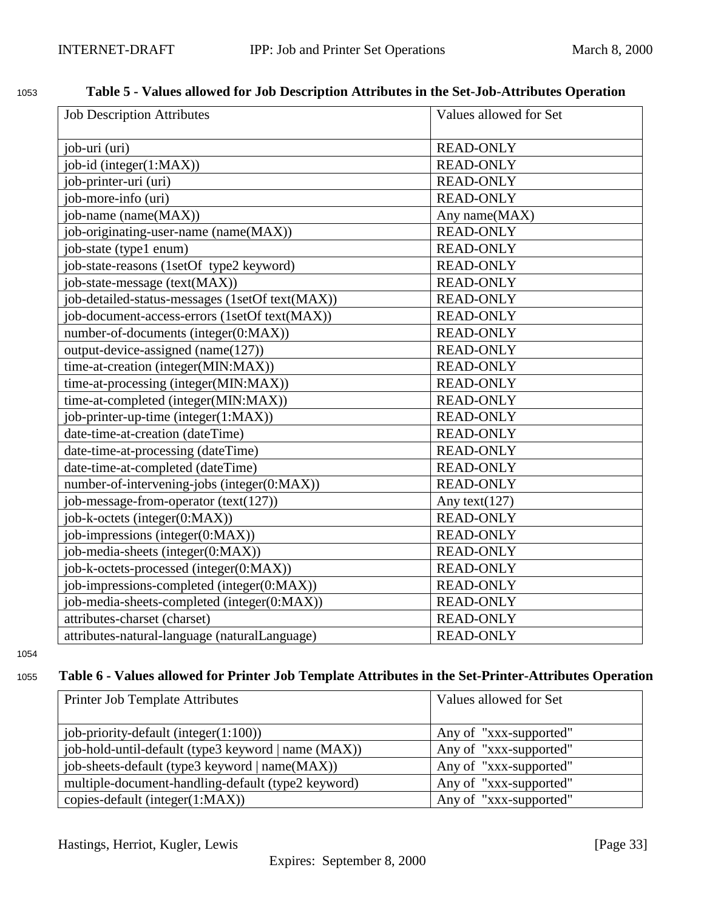# <span id="page-32-0"></span><sup>1053</sup> **Table 5 - Values allowed for Job Description Attributes in the Set-Job-Attributes Operation**

| <b>Job Description Attributes</b>               | Values allowed for Set |
|-------------------------------------------------|------------------------|
| job-uri (uri)                                   | <b>READ-ONLY</b>       |
| job-id (integer(1:MAX))                         | <b>READ-ONLY</b>       |
| job-printer-uri (uri)                           | <b>READ-ONLY</b>       |
| job-more-info (uri)                             | <b>READ-ONLY</b>       |
| job-name (name(MAX))                            | Any name(MAX)          |
| job-originating-user-name (name(MAX))           | <b>READ-ONLY</b>       |
| job-state (type1 enum)                          | <b>READ-ONLY</b>       |
| job-state-reasons (1setOf type2 keyword)        | <b>READ-ONLY</b>       |
| job-state-message (text(MAX))                   | <b>READ-ONLY</b>       |
| job-detailed-status-messages (1setOf text(MAX)) | <b>READ-ONLY</b>       |
| job-document-access-errors (1setOf text(MAX))   | <b>READ-ONLY</b>       |
| number-of-documents (integer(0:MAX))            | <b>READ-ONLY</b>       |
| output-device-assigned (name(127))              | <b>READ-ONLY</b>       |
| time-at-creation (integer(MIN:MAX))             | <b>READ-ONLY</b>       |
| time-at-processing (integer(MIN:MAX))           | <b>READ-ONLY</b>       |
| time-at-completed (integer(MIN:MAX))            | <b>READ-ONLY</b>       |
| job-printer-up-time (integer(1:MAX))            | <b>READ-ONLY</b>       |
| date-time-at-creation (dateTime)                | <b>READ-ONLY</b>       |
| date-time-at-processing (dateTime)              | <b>READ-ONLY</b>       |
| date-time-at-completed (dateTime)               | <b>READ-ONLY</b>       |
| number-of-intervening-jobs (integer(0:MAX))     | <b>READ-ONLY</b>       |
| job-message-from-operator (text(127))           | Any text $(127)$       |
| job-k-octets (integer(0:MAX))                   | <b>READ-ONLY</b>       |
| job-impressions (integer(0:MAX))                | <b>READ-ONLY</b>       |
| job-media-sheets (integer(0:MAX))               | <b>READ-ONLY</b>       |
| job-k-octets-processed (integer(0:MAX))         | <b>READ-ONLY</b>       |
| job-impressions-completed (integer(0:MAX))      | <b>READ-ONLY</b>       |
| job-media-sheets-completed (integer(0:MAX))     | <b>READ-ONLY</b>       |
| attributes-charset (charset)                    | <b>READ-ONLY</b>       |
| attributes-natural-language (naturalLanguage)   | <b>READ-ONLY</b>       |

1054

# <sup>1055</sup> **Table 6 - Values allowed for Printer Job Template Attributes in the Set-Printer-Attributes Operation**

| <b>Printer Job Template Attributes</b>              | Values allowed for Set |
|-----------------------------------------------------|------------------------|
| job-priority-default (integer $(1:100)$ )           | Any of "xxx-supported" |
| job-hold-until-default (type3 keyword   name (MAX)) | Any of "xxx-supported" |
| job-sheets-default (type3 keyword   name(MAX))      | Any of "xxx-supported" |
| multiple-document-handling-default (type2 keyword)  | Any of "xxx-supported" |
| copies-default (integer(1:MAX))                     | Any of "xxx-supported" |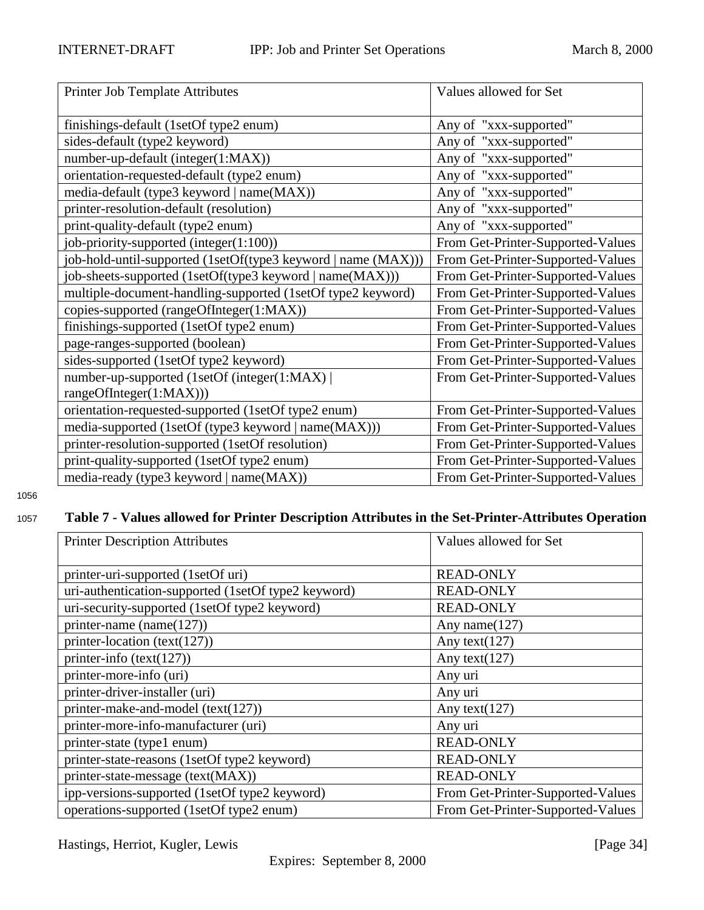<span id="page-33-0"></span>

| Printer Job Template Attributes                               | Values allowed for Set            |
|---------------------------------------------------------------|-----------------------------------|
| finishings-default (1setOf type2 enum)                        | Any of "xxx-supported"            |
| sides-default (type2 keyword)                                 | Any of "xxx-supported"            |
| number-up-default (integer(1:MAX))                            | Any of "xxx-supported"            |
| orientation-requested-default (type2 enum)                    | Any of "xxx-supported"            |
| media-default (type3 keyword   name(MAX))                     | Any of "xxx-supported"            |
| printer-resolution-default (resolution)                       | Any of "xxx-supported"            |
| print-quality-default (type2 enum)                            | Any of "xxx-supported"            |
| job-priority-supported (integer(1:100))                       | From Get-Printer-Supported-Values |
| job-hold-until-supported (1setOf(type3 keyword   name (MAX))) | From Get-Printer-Supported-Values |
| job-sheets-supported (1setOf(type3 keyword   name(MAX)))      | From Get-Printer-Supported-Values |
| multiple-document-handling-supported (1setOf type2 keyword)   | From Get-Printer-Supported-Values |
| copies-supported (rangeOfInteger(1:MAX))                      | From Get-Printer-Supported-Values |
| finishings-supported (1setOf type2 enum)                      | From Get-Printer-Supported-Values |
| page-ranges-supported (boolean)                               | From Get-Printer-Supported-Values |
| sides-supported (1setOf type2 keyword)                        | From Get-Printer-Supported-Values |
| number-up-supported (1setOf (integer(1:MAX))                  | From Get-Printer-Supported-Values |
| rangeOfInteger(1:MAX)))                                       |                                   |
| orientation-requested-supported (1setOf type2 enum)           | From Get-Printer-Supported-Values |
| media-supported (1setOf (type3 keyword   name(MAX)))          | From Get-Printer-Supported-Values |
| printer-resolution-supported (1setOf resolution)              | From Get-Printer-Supported-Values |
| print-quality-supported (1setOf type2 enum)                   | From Get-Printer-Supported-Values |
| media-ready (type3 keyword   name(MAX))                       | From Get-Printer-Supported-Values |

1056

# <sup>1057</sup> **Table 7 - Values allowed for Printer Description Attributes in the Set-Printer-Attributes Operation**

| <b>Printer Description Attributes</b>               | Values allowed for Set            |
|-----------------------------------------------------|-----------------------------------|
|                                                     |                                   |
| printer-uri-supported (1setOf uri)                  | <b>READ-ONLY</b>                  |
| uri-authentication-supported (1setOf type2 keyword) | <b>READ-ONLY</b>                  |
| uri-security-supported (1setOf type2 keyword)       | <b>READ-ONLY</b>                  |
| printer-name (name $(127)$ )                        | Any name $(127)$                  |
| printer-location (text(127))                        | Any text( $127$ )                 |
| printer-info $(text(127))$                          | Any text $(127)$                  |
| printer-more-info (uri)                             | Any uri                           |
| printer-driver-installer (uri)                      | Any uri                           |
| printer-make-and-model (text(127))                  | Any text $(127)$                  |
| printer-more-info-manufacturer (uri)                | Any uri                           |
| printer-state (type1 enum)                          | <b>READ-ONLY</b>                  |
| printer-state-reasons (1setOf type2 keyword)        | <b>READ-ONLY</b>                  |
| printer-state-message (text(MAX))                   | <b>READ-ONLY</b>                  |
| ipp-versions-supported (1setOf type2 keyword)       | From Get-Printer-Supported-Values |
| operations-supported (1setOf type2 enum)            | From Get-Printer-Supported-Values |

Hastings, Herriot, Kugler, Lewis [Page 34]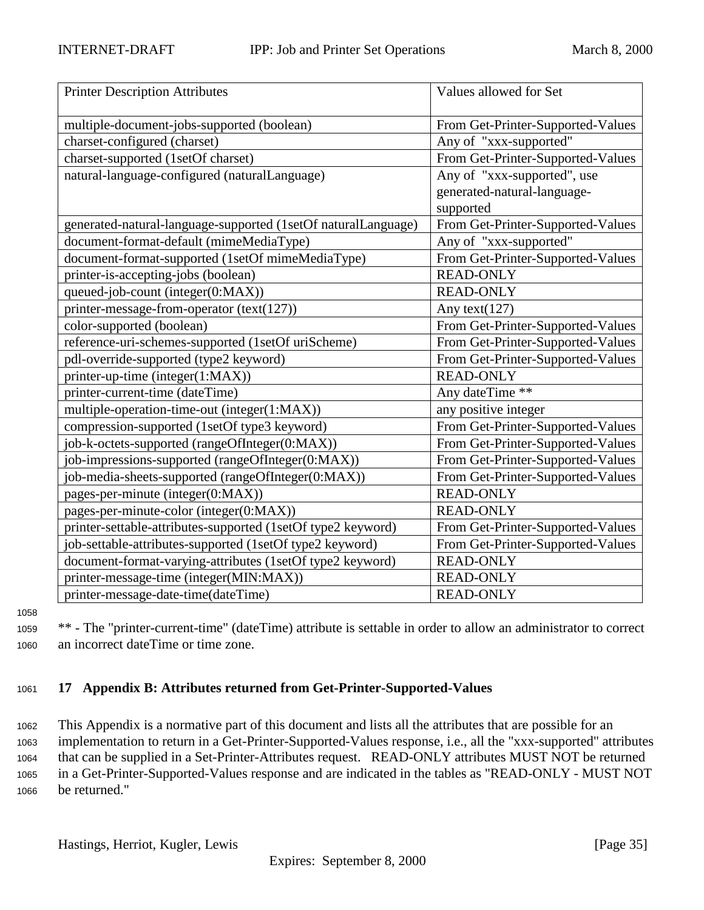<span id="page-34-0"></span>

| <b>Printer Description Attributes</b>                         | Values allowed for Set            |
|---------------------------------------------------------------|-----------------------------------|
| multiple-document-jobs-supported (boolean)                    | From Get-Printer-Supported-Values |
| charset-configured (charset)                                  | Any of "xxx-supported"            |
| charset-supported (1setOf charset)                            | From Get-Printer-Supported-Values |
| natural-language-configured (naturalLanguage)                 | Any of "xxx-supported", use       |
|                                                               | generated-natural-language-       |
|                                                               | supported                         |
| generated-natural-language-supported (1setOf naturalLanguage) | From Get-Printer-Supported-Values |
| document-format-default (mimeMediaType)                       | Any of "xxx-supported"            |
| document-format-supported (1setOf mimeMediaType)              | From Get-Printer-Supported-Values |
| printer-is-accepting-jobs (boolean)                           | <b>READ-ONLY</b>                  |
| queued-job-count (integer(0:MAX))                             | <b>READ-ONLY</b>                  |
| printer-message-from-operator (text(127))                     | Any text $(127)$                  |
| color-supported (boolean)                                     | From Get-Printer-Supported-Values |
| reference-uri-schemes-supported (1setOf uriScheme)            | From Get-Printer-Supported-Values |
| pdl-override-supported (type2 keyword)                        | From Get-Printer-Supported-Values |
| printer-up-time (integer(1:MAX))                              | <b>READ-ONLY</b>                  |
| printer-current-time (dateTime)                               | Any dateTime **                   |
| multiple-operation-time-out (integer(1:MAX))                  | any positive integer              |
| compression-supported (1setOf type3 keyword)                  | From Get-Printer-Supported-Values |
| job-k-octets-supported (rangeOfInteger(0:MAX))                | From Get-Printer-Supported-Values |
| job-impressions-supported (rangeOfInteger(0:MAX))             | From Get-Printer-Supported-Values |
| job-media-sheets-supported (rangeOfInteger(0:MAX))            | From Get-Printer-Supported-Values |
| pages-per-minute (integer(0:MAX))                             | <b>READ-ONLY</b>                  |
| pages-per-minute-color (integer(0:MAX))                       | <b>READ-ONLY</b>                  |
| printer-settable-attributes-supported (1setOf type2 keyword)  | From Get-Printer-Supported-Values |
| job-settable-attributes-supported (1setOf type2 keyword)      | From Get-Printer-Supported-Values |
| document-format-varying-attributes (1setOf type2 keyword)     | <b>READ-ONLY</b>                  |
| printer-message-time (integer(MIN:MAX))                       | <b>READ-ONLY</b>                  |
| printer-message-date-time(dateTime)                           | <b>READ-ONLY</b>                  |

1058

<sup>1059</sup> \*\* - The "printer-current-time" (dateTime) attribute is settable in order to allow an administrator to correct <sup>1060</sup> an incorrect dateTime or time zone.

# <sup>1061</sup> **17 Appendix B: Attributes returned from Get-Printer-Supported-Values**

 This Appendix is a normative part of this document and lists all the attributes that are possible for an implementation to return in a Get-Printer-Supported-Values response, i.e., all the "xxx-supported" attributes that can be supplied in a Set-Printer-Attributes request. READ-ONLY attributes MUST NOT be returned in a Get-Printer-Supported-Values response and are indicated in the tables as "READ-ONLY - MUST NOT be returned."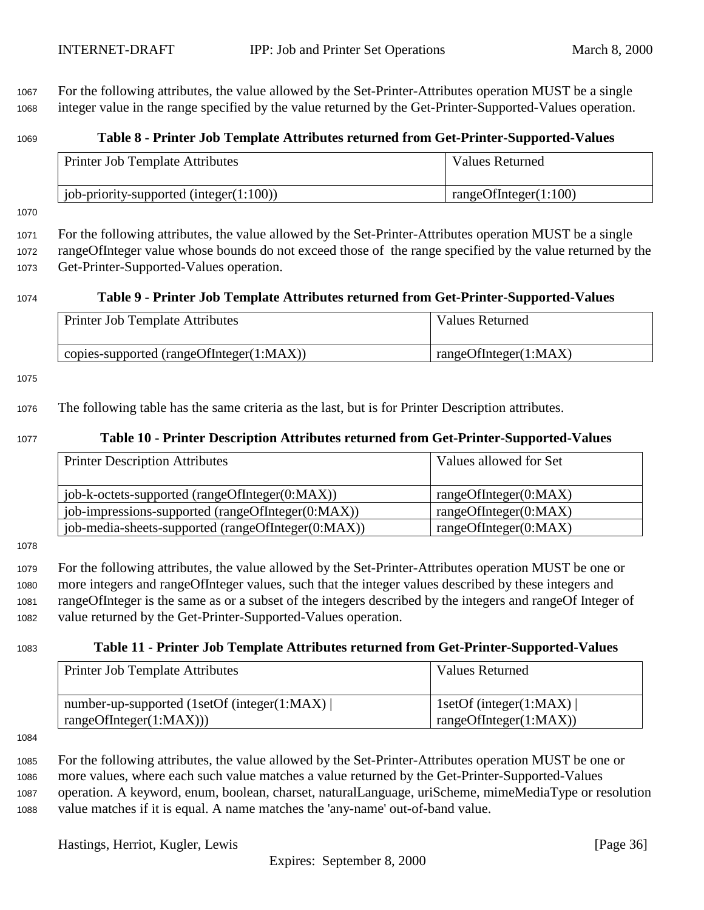<span id="page-35-0"></span><sup>1067</sup> For the following attributes, the value allowed by the Set-Printer-Attributes operation MUST be a single <sup>1068</sup> integer value in the range specified by the value returned by the Get-Printer-Supported-Values operation.

# <sup>1069</sup> **Table 8 - Printer Job Template Attributes returned from Get-Printer-Supported-Values**

| Printer Job Template Attributes             | <b>Values Returned</b>   |
|---------------------------------------------|--------------------------|
| job-priority-supported (integer $(1:100)$ ) | rangeOfInteger $(1:100)$ |

1070

<sup>1071</sup> For the following attributes, the value allowed by the Set-Printer-Attributes operation MUST be a single <sup>1072</sup> rangeOfInteger value whose bounds do not exceed those of the range specified by the value returned by the <sup>1073</sup> Get-Printer-Supported-Values operation.

#### <sup>1074</sup> **Table 9 - Printer Job Template Attributes returned from Get-Printer-Supported-Values**

| <b>Printer Job Template Attributes</b>       | <b>Values Returned</b> |
|----------------------------------------------|------------------------|
| $'$ copies-supported (rangeOfInteger(1:MAX)) | rangeOfInteger(1:MAX)  |

#### 1075

<sup>1076</sup> The following table has the same criteria as the last, but is for Printer Description attributes.

#### <sup>1077</sup> **Table 10 - Printer Description Attributes returned from Get-Printer-Supported-Values**

| <b>Printer Description Attributes</b>              | Values allowed for Set |
|----------------------------------------------------|------------------------|
| job-k-octets-supported (rangeOfInteger(0:MAX))     | rangeOfInteger(0:MAX)  |
| job-impressions-supported (rangeOfInteger(0:MAX))  | rangeOfInteger(0:MAX)  |
| job-media-sheets-supported (rangeOfInteger(0:MAX)) | rangeOfInteger(0:MAX)  |

1078

 For the following attributes, the value allowed by the Set-Printer-Attributes operation MUST be one or more integers and rangeOfInteger values, such that the integer values described by these integers and rangeOfInteger is the same as or a subset of the integers described by the integers and rangeOf Integer of value returned by the Get-Printer-Supported-Values operation.

#### <sup>1083</sup> **Table 11 - Printer Job Template Attributes returned from Get-Printer-Supported-Values**

| Printer Job Template Attributes                                        | Values Returned                                          |
|------------------------------------------------------------------------|----------------------------------------------------------|
| number-up-supported (1setOf (integer(1:MAX))<br>rangeOfInteger(1:MAX)) | 1setOf (integer(1:MAX) $\vert$<br>rangeOfInteger(1:MAX)) |

1084

 For the following attributes, the value allowed by the Set-Printer-Attributes operation MUST be one or more values, where each such value matches a value returned by the Get-Printer-Supported-Values operation. A keyword, enum, boolean, charset, naturalLanguage, uriScheme, mimeMediaType or resolution value matches if it is equal. A name matches the 'any-name' out-of-band value.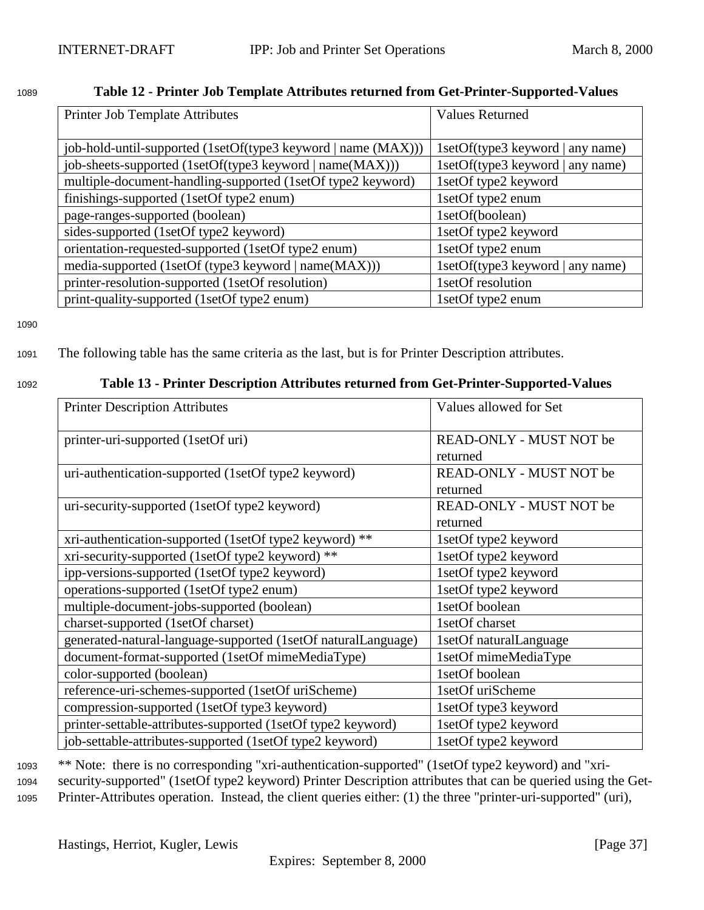# <span id="page-36-0"></span><sup>1089</sup> **Table 12 - Printer Job Template Attributes returned from Get-Printer-Supported-Values**

| Printer Job Template Attributes                               | <b>Values Returned</b>           |
|---------------------------------------------------------------|----------------------------------|
|                                                               |                                  |
| job-hold-until-supported (1setOf(type3 keyword   name (MAX))) | 1setOf(type3 keyword   any name) |
| job-sheets-supported (1setOf(type3 keyword   name(MAX)))      | 1setOf(type3 keyword   any name) |
| multiple-document-handling-supported (1setOf type2 keyword)   | 1setOf type2 keyword             |
| finishings-supported (1setOf type2 enum)                      | 1setOf type2 enum                |
| page-ranges-supported (boolean)                               | 1setOf(boolean)                  |
| sides-supported (1setOf type2 keyword)                        | 1setOf type2 keyword             |
| orientation-requested-supported (1setOf type2 enum)           | 1setOf type2 enum                |
| media-supported (1setOf (type3 keyword   name(MAX)))          | 1setOf(type3 keyword   any name) |
| printer-resolution-supported (1setOf resolution)              | 1setOf resolution                |
| print-quality-supported (1setOf type2 enum)                   | 1setOf type2 enum                |

1090

# <sup>1091</sup> The following table has the same criteria as the last, but is for Printer Description attributes.

#### <sup>1092</sup> **Table 13 - Printer Description Attributes returned from Get-Printer-Supported-Values**

| <b>Printer Description Attributes</b>                         | Values allowed for Set  |
|---------------------------------------------------------------|-------------------------|
| printer-uri-supported (1setOf uri)                            | READ-ONLY - MUST NOT be |
|                                                               | returned                |
| uri-authentication-supported (1setOf type2 keyword)           | READ-ONLY - MUST NOT be |
|                                                               | returned                |
| uri-security-supported (1setOf type2 keyword)                 | READ-ONLY - MUST NOT be |
|                                                               | returned                |
| xri-authentication-supported (1setOf type2 keyword) **        | 1setOf type2 keyword    |
| xri-security-supported (1setOf type2 keyword) **              | 1setOf type2 keyword    |
| ipp-versions-supported (1setOf type2 keyword)                 | 1setOf type2 keyword    |
| operations-supported (1setOf type2 enum)                      | 1setOf type2 keyword    |
| multiple-document-jobs-supported (boolean)                    | 1setOf boolean          |
| charset-supported (1setOf charset)                            | 1setOf charset          |
| generated-natural-language-supported (1setOf naturalLanguage) | 1setOf naturalLanguage  |
| document-format-supported (1setOf mimeMediaType)              | 1setOf mimeMediaType    |
| color-supported (boolean)                                     | 1setOf boolean          |
| reference-uri-schemes-supported (1setOf uriScheme)            | 1setOf uriScheme        |
| compression-supported (1setOf type3 keyword)                  | 1setOf type3 keyword    |
| printer-settable-attributes-supported (1setOf type2 keyword)  | 1setOf type2 keyword    |
| job-settable-attributes-supported (1setOf type2 keyword)      | 1setOf type2 keyword    |

<sup>1093</sup> \*\* Note: there is no corresponding "xri-authentication-supported" (1setOf type2 keyword) and "xri-<sup>1094</sup> security-supported" (1setOf type2 keyword) Printer Description attributes that can be queried using the Get-<sup>1095</sup> Printer-Attributes operation. Instead, the client queries either: (1) the three "printer-uri-supported" (uri),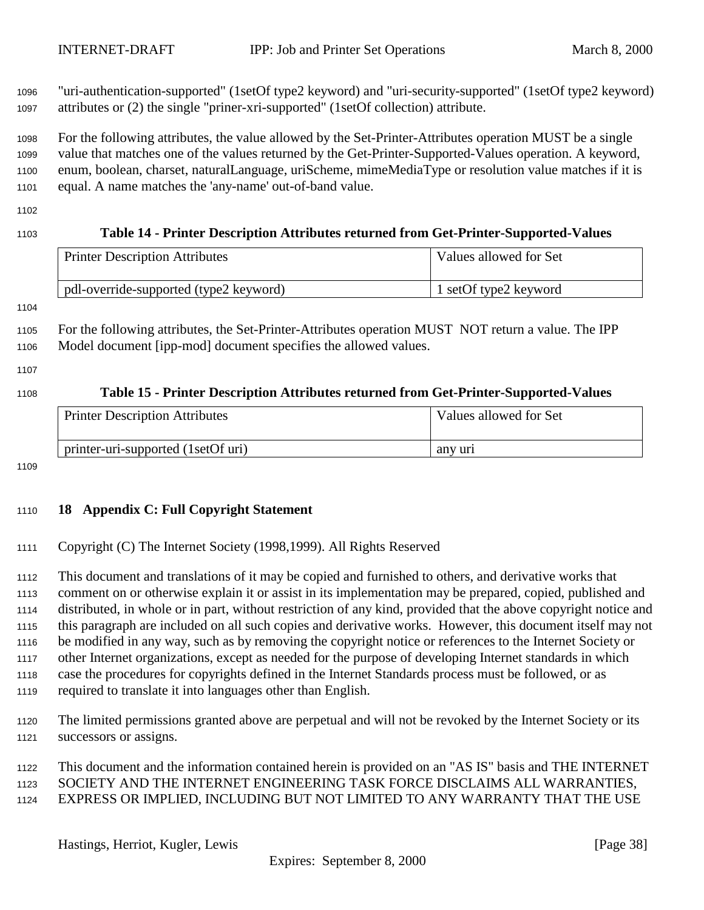<span id="page-37-0"></span> "uri-authentication-supported" (1setOf type2 keyword) and "uri-security-supported" (1setOf type2 keyword) attributes or (2) the single "priner-xri-supported" (1setOf collection) attribute.

 For the following attributes, the value allowed by the Set-Printer-Attributes operation MUST be a single value that matches one of the values returned by the Get-Printer-Supported-Values operation. A keyword, enum, boolean, charset, naturalLanguage, uriScheme, mimeMediaType or resolution value matches if it is equal. A name matches the 'any-name' out-of-band value.

# **Table 14 - Printer Description Attributes returned from Get-Printer-Supported-Values** Printer Description Attributes Values allowed for Set pdl-override-supported (type2 keyword) 1 setOf type2 keyword For the following attributes, the Set-Printer-Attributes operation MUST NOT return a value. The IPP Model document [ipp-mod] document specifies the allowed values. **Table 15 - Printer Description Attributes returned from Get-Printer-Supported-Values** Printer Description Attributes Values allowed for Set printer-uri-supported (1setOf uri) any uri

#### **18 Appendix C: Full Copyright Statement**

#### Copyright (C) The Internet Society (1998,1999). All Rights Reserved

 This document and translations of it may be copied and furnished to others, and derivative works that comment on or otherwise explain it or assist in its implementation may be prepared, copied, published and distributed, in whole or in part, without restriction of any kind, provided that the above copyright notice and this paragraph are included on all such copies and derivative works. However, this document itself may not be modified in any way, such as by removing the copyright notice or references to the Internet Society or other Internet organizations, except as needed for the purpose of developing Internet standards in which case the procedures for copyrights defined in the Internet Standards process must be followed, or as required to translate it into languages other than English.

- The limited permissions granted above are perpetual and will not be revoked by the Internet Society or its successors or assigns.
- This document and the information contained herein is provided on an "AS IS" basis and THE INTERNET SOCIETY AND THE INTERNET ENGINEERING TASK FORCE DISCLAIMS ALL WARRANTIES, EXPRESS OR IMPLIED, INCLUDING BUT NOT LIMITED TO ANY WARRANTY THAT THE USE